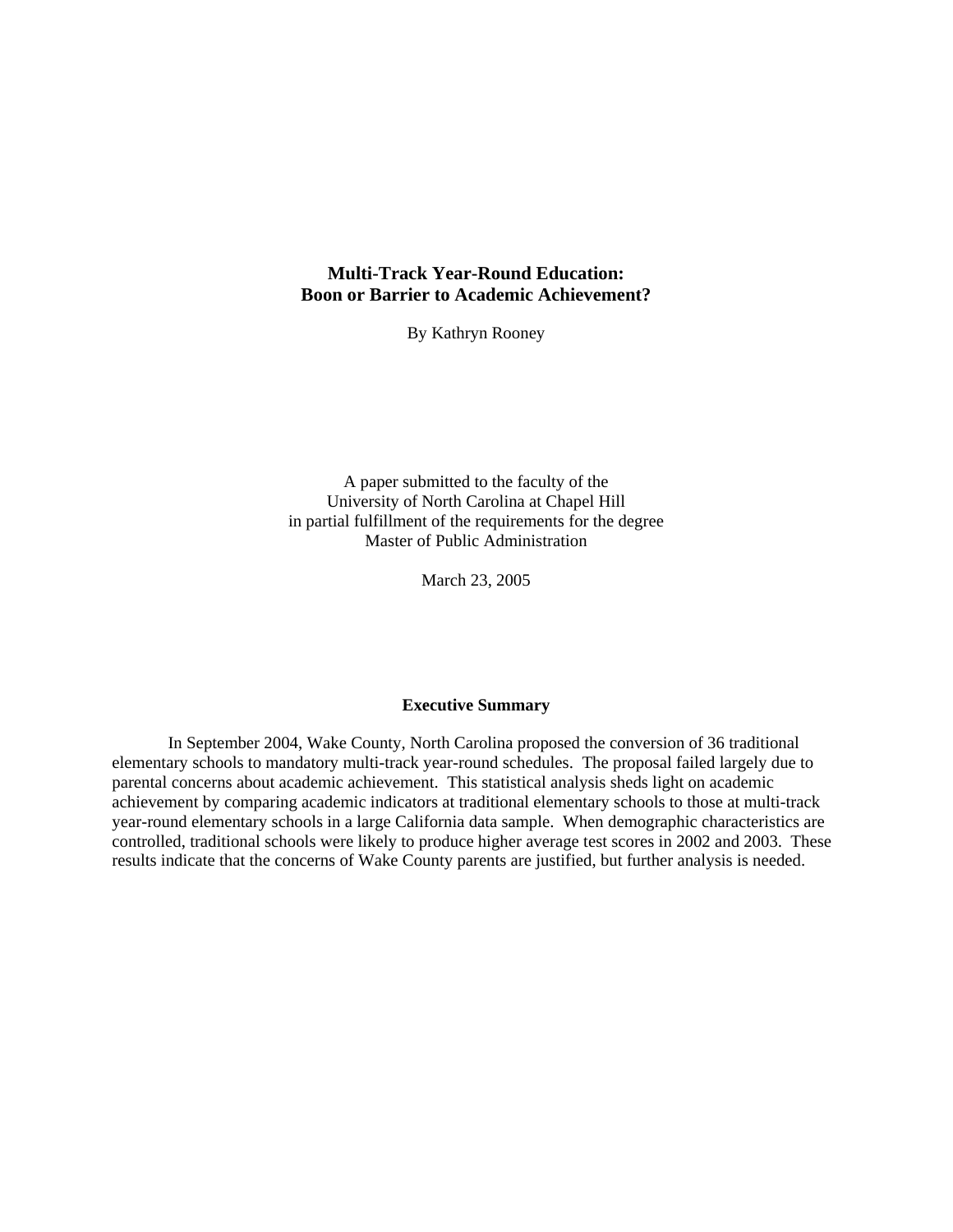## <span id="page-0-0"></span>**Multi-Track Year-Round Education: Boon or Barrier to Academic Achievement?**

By Kathryn Rooney

A paper submitted to the faculty of the University of North Carolina at Chapel Hill in partial fulfillment of the requirements for the degree Master of Public Administration

March 23, 2005

### **Executive Summary**

In September 2004, Wake County, North Carolina proposed the conversion of 36 traditional elementary schools to mandatory multi-track year-round schedules. The proposal failed largely due to parental concerns about academic achievement. This statistical analysis sheds light on academic achievement by comparing academic indicators at traditional elementary schools to those at multi-track year-round elementary schools in a large California data sample. When demographic characteristics are controlled, traditional schools were likely to produce higher average test scores in 2002 and 2003. These results indicate that the concerns of Wake County parents are justified, but further analysis is needed.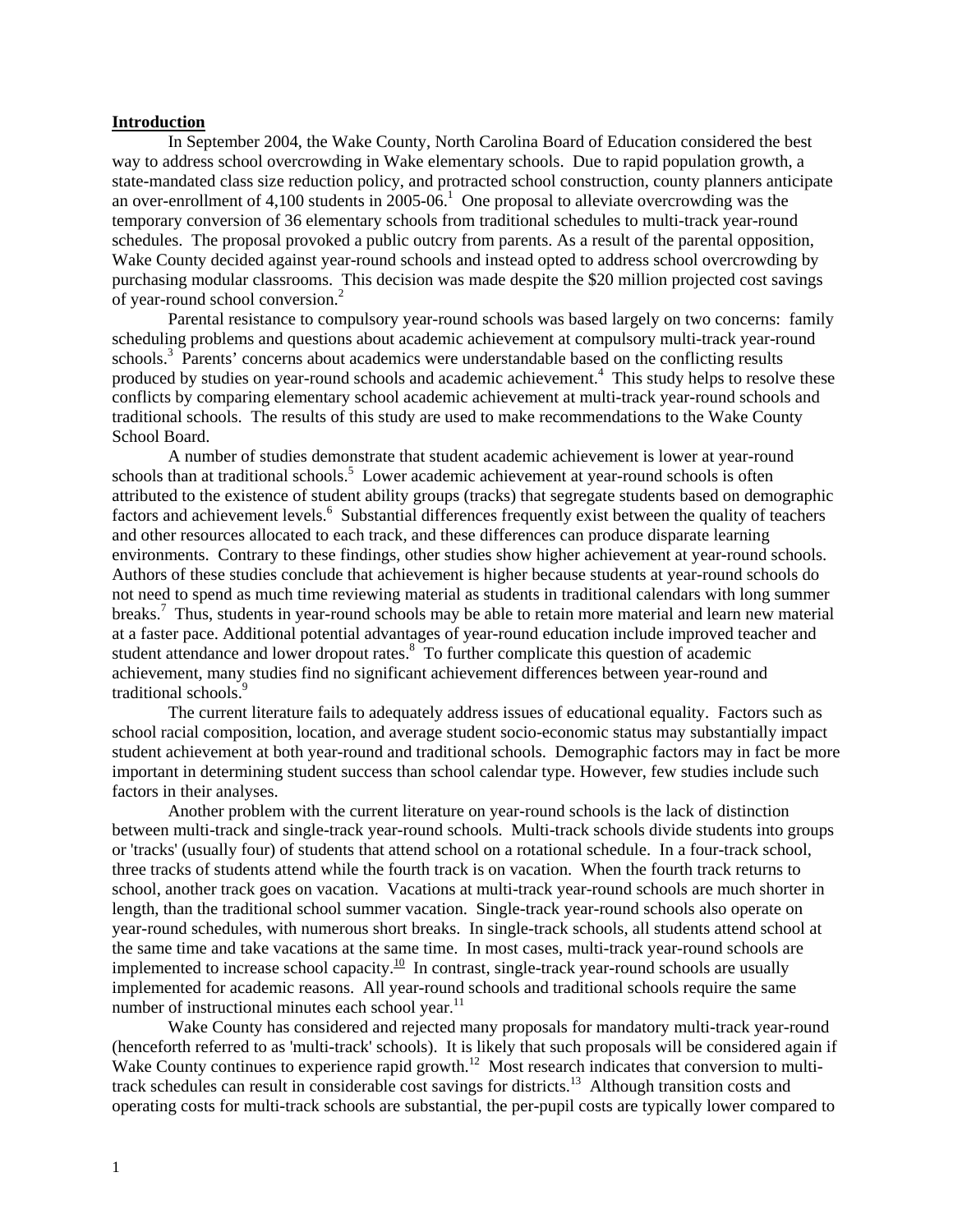#### <span id="page-1-0"></span>**Introduction**

In September 2004, the Wake County, North Carolina Board of Education considered the best way to address school overcrowding in Wake elementary schools. Due to rapid population growth, a state-mandated class size reduction policy, and protracted school construction, county planners anticipate an over-enrollment of 4,100 students in 2005-06.<sup>1</sup> One proposal to alleviate overcrowding was the temporary conversion of 36 elementary schools from traditional schedules to multi-track year-round schedules. The proposal provoked a public outcry from parents. As a result of the parental opposition, Wake County decided against year-round schools and instead opted to address school overcrowding by purchasing modular classrooms. This decision was made despite the \$20 million projected cost savings of year-round school conversion.<sup>2</sup>

Parental resistance to compulsory year-round schools was based largely on two concerns: family scheduling problems and questions about academic achievement at compulsory multi-track year-round schools.<sup>[3](#page-27-0)</sup> Parents' concerns about academics were understandable based on the conflicting results produced by studies on year-round schools and academic achievement.<sup>4</sup> This study helps to resolve these conflicts by comparing elementary school academic achievement at multi-track year-round schools and traditional schools. The results of this study are used to make recommendations to the Wake County School Board.

A number of studies demonstrate that student academic achievement is lower at year-round schools than at traditional schools.<sup>[5](#page-0-0)</sup> Lower academic achievement at year-round schools is often attributed to the existence of student ability groups (tracks) that segregate students based on demographic factors and achievement levels.<sup>6</sup> Substantial differences frequently exist between the quality of teachers and other resources allocated to each track, and these differences can produce disparate learning environments. Contrary to these findings, other studies show higher achievement at year-round schools. Authors of these studies conclude that achievement is higher because students at year-round schools do not need to spend as much time reviewing material as students in traditional calendars with long summer breaks.[7](#page-0-0) Thus, students in year-round schools may be able to retain more material and learn new material at a faster pace. Additional potential advantages of year-round education include improved teacher and student attendance and lower dropout rates. $8\degree$  To further complicate this question of academic achievement, many studies find no significant achievement differences between year-round and traditional schools.<sup>[9](#page-30-0)</sup>

The current literature fails to adequately address issues of educational equality. Factors such as school racial composition, location, and average student socio-economic status may substantially impact student achievement at both year-round and traditional schools. Demographic factors may in fact be more important in determining student success than school calendar type. However, few studies include such factors in their analyses.

Another problem with the current literature on year-round schools is the lack of distinction between multi-track and single-track year-round schools. Multi-track schools divide students into groups or 'tracks' (usually four) of students that attend school on a rotational schedule. In a four-track school, three tracks of students attend while the fourth track is on vacation. When the fourth track returns to school, another track goes on vacation. Vacations at multi-track year-round schools are much shorter in length, than the traditional school summer vacation. Single-track year-round schools also operate on year-round schedules, with numerous short breaks. In single-track schools, all students attend school at the same time and take vacations at the same time. In most cases, multi-track year-round schools are implemented to increase school capacity.<sup>10</sup> In contrast, single-track year-round schools are usually implemented for academic reasons. All year-round schools and traditional schools require the same number of instructional minutes each school year.<sup>11</sup>

Wake County has considered and rejected many proposals for mandatory multi-track year-round (henceforth referred to as 'multi-track' schools). It is likely that such proposals will be considered again if Wake County continues to experience rapid growth.<sup>12</sup> Most research indicates that conversion to multitrack schedules can result in considerable cost savings for districts.13 Although transition costs and operating costs for multi-track schools are substantial, the per-pupil costs are typically lower compared to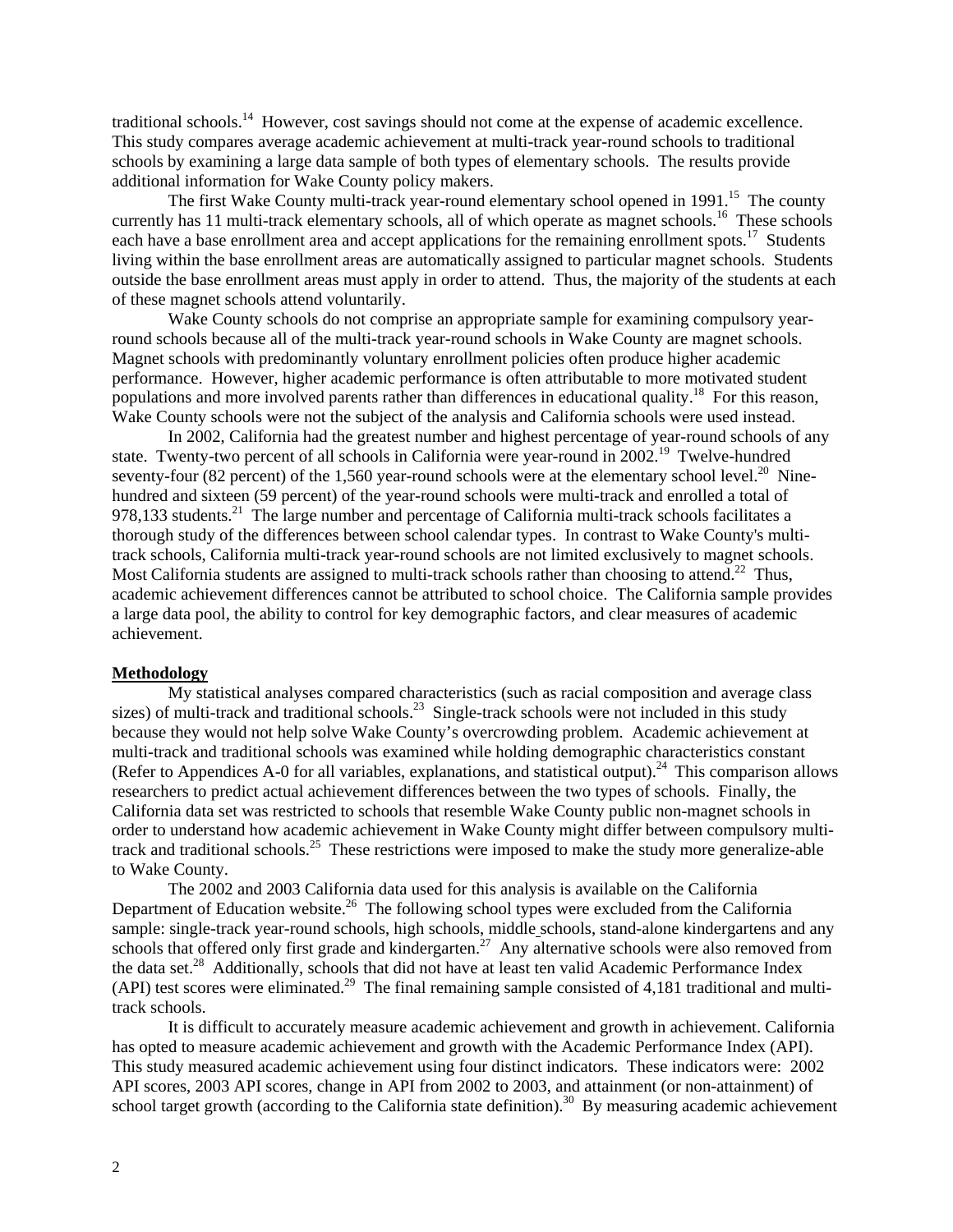traditional schools.<sup>14</sup> However, cost savings should not come at the expense of academic excellence. This study compares average academic achievement at multi-track year-round schools to traditional schools by examining a large data sample of both types of elementary schools. The results provide additional information for Wake County policy makers.

The first Wake County multi-track year-round elementary school opened in  $1991$ <sup>15</sup>. The county currently has 11 multi-track elementary schools, all of which operate as magnet schools.<sup>16</sup> These schools each have a base enrollment area and accept applications for the remaining enrollment spots.<sup>17</sup> Students living within the base enrollment areas are automatically assigned to particular magnet schools. Students outside the base enrollment areas must apply in order to attend. Thus, the majority of the students at each of these magnet schools attend voluntarily.

Wake County schools do not comprise an appropriate sample for examining compulsory yearround schools because all of the multi-track year-round schools in Wake County are magnet schools. Magnet schools with predominantly voluntary enrollment policies often produce higher academic performance. However, higher academic performance is often attributable to more motivated student populations and more involved parents rather than differences in educational quality.<sup>18</sup> For this reason, Wake County schools were not the subject of the analysis and California schools were used instead.

In 2002, California had the greatest number and highest percentage of year-round schools of any state. Twenty-two percent of all schools in California were year-round in 2002.<sup>19</sup> Twelve-hundred seventy-four (82 percent) of the 1,560 year-round schools were at the elementary school level.<sup>20</sup> Ninehundred and sixteen (59 percent) of the year-round schools were multi-track and enrolled a total of 978,133 students.<sup>[21](#page-0-0)</sup> The large number and percentage of California multi-track schools facilitates a thorough study of the differences between school calendar types. In contrast to Wake County's multitrack schools, California multi-track year-round schools are not limited exclusively to magnet schools. Most California students are assigned to multi-track schools rather than choosing to attend.<sup>22</sup> Thus, academic achievement differences cannot be attributed to school choice. The California sample provides a large data pool, the ability to control for key demographic factors, and clear measures of academic achievement.

#### **Methodology**

My statistical analyses compared characteristics (such as racial composition and average class sizes) of multi-track and traditional schools.<sup>23</sup> Single-track schools were not included in this study because they would not help solve Wake County's overcrowding problem. Academic achievement at multi-track and traditional schools was examined while holding demographic characteristics constant (Refer to Appendices A-0 for all variables, explanations, and statistical output).<sup>24</sup> This comparison allows researchers to predict actual achievement differences between the two types of schools. Finally, the California data set was restricted to schools that resemble Wake County public non-magnet schools in order to understand how academic achievement in Wake County might differ between compulsory multitrack and traditional schools[.25](#page-0-0) These restrictions were imposed to make the study more generalize-able to Wake County.

The 2002 and 2003 California data used for this analysis is available on the California Department of Education website.<sup>26</sup> The following school types were excluded from the California sample: single-track year-round schools, high schools, middle schools, stand-alone kindergartens and any schools that offered only first grade and kindergarten.<sup>27</sup> Any alternative schools were also removed from the data set.<sup>28</sup> Additionally, schools that did not have at least ten valid Academic Performance Index (API) test scores were eliminated.<sup>29</sup> The final remaining sample consisted of 4,181 traditional and multitrack schools.

It is difficult to accurately measure academic achievement and growth in achievement. California has opted to measure academic achievement and growth with the Academic Performance Index (API). This study measured academic achievement using four distinct indicators. These indicators were: 2002 API scores, 2003 API scores, change in API from 2002 to 2003, and attainment (or non-attainment) of school target growth (according to the California state definition).<sup>30</sup> By measuring academic achievement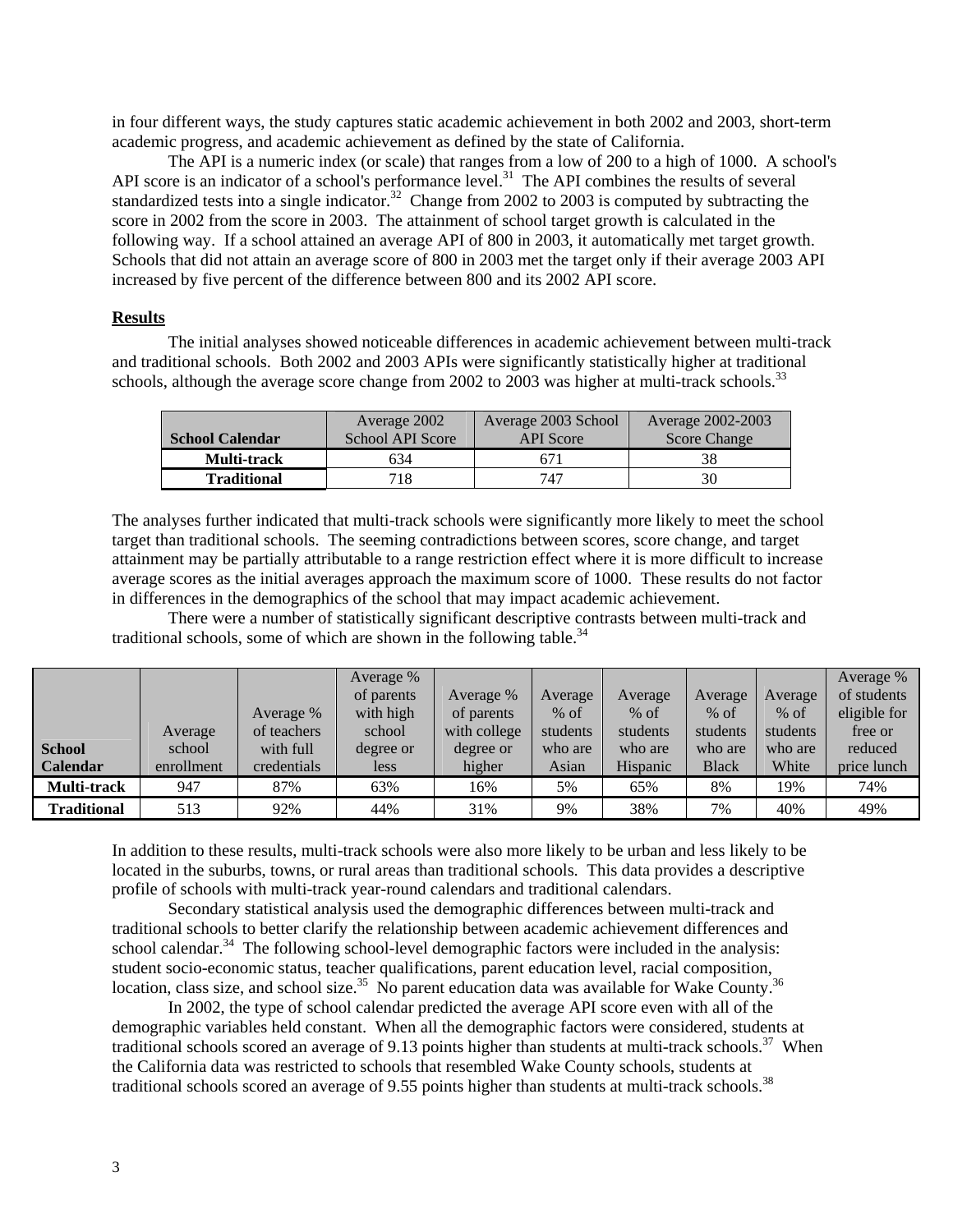in four different ways, the study captures static academic achievement in both 2002 and 2003, short-term academic progress, and academic achievement as defined by the state of California.

The API is a numeric index (or scale) that ranges from a low of 200 to a high of 1000. A school's API score is an indicator of a school's performance level.<sup>31</sup> The API combines the results of several standardized tests into a single indicator.<sup>32</sup> Change from 2002 to 2003 is computed by subtracting the score in 2002 from the score in 2003. The attainment of school target growth is calculated in the following way. If a school attained an average API of 800 in 2003, it automatically met target growth. Schools that did not attain an average score of 800 in 2003 met the target only if their average 2003 API increased by five percent of the difference between 800 and its 2002 API score.

### **Results**

The initial analyses showed noticeable differences in academic achievement between multi-track and traditional schools. Both 2002 and 2003 APIs were significantly statistically higher at traditional schools, although the average score change from 2002 to 2003 was higher at multi-track schools.<sup>33</sup>

|                        | Average 2002     | Average 2003 School | Average 2002-2003   |
|------------------------|------------------|---------------------|---------------------|
| <b>School Calendar</b> | School API Score | <b>API</b> Score    | <b>Score Change</b> |
| Multi-track            | 634              | 671                 |                     |
| <b>Traditional</b>     | 718              | 747                 |                     |

The analyses further indicated that multi-track schools were significantly more likely to meet the school target than traditional schools. The seeming contradictions between scores, score change, and target attainment may be partially attributable to a range restriction effect where it is more difficult to increase average scores as the initial averages approach the maximum score of 1000. These results do not factor in differences in the demographics of the school that may impact academic achievement.

There were a number of statistically significant descriptive contrasts between multi-track and traditional schools, some of which are shown in the following table. $34$ 

|                 |            |             | Average %  |              |          |          |              |          | Average %    |
|-----------------|------------|-------------|------------|--------------|----------|----------|--------------|----------|--------------|
|                 |            |             | of parents | Average %    | Average  | Average  | Average      | Average  | of students  |
|                 |            | Average %   | with high  | of parents   | $%$ of   | $%$ of   | $%$ of       | $%$ of   | eligible for |
|                 | Average    | of teachers | school     | with college | students | students | students     | students | free or      |
| <b>School</b>   | school     | with full   | degree or  | degree or    | who are  | who are  | who are      | who are  | reduced      |
| <b>Calendar</b> | enrollment | credentials | less       | higher       | Asian    | Hispanic | <b>Black</b> | White    | price lunch  |
| Multi-track     | 947        | 87%         | 63%        | 16%          | 5%       | 65%      | 8%           | 19%      | 74%          |
| Traditional     | 513        | 92%         | 44%        | 31%          | 9%       | 38%      | 7%           | 40%      | 49%          |

In addition to these results, multi-track schools were also more likely to be urban and less likely to be located in the suburbs, towns, or rural areas than traditional schools. This data provides a descriptive profile of schools with multi-track year-round calendars and traditional calendars.

Secondary statistical analysis used the demographic differences between multi-track and traditional schools to better clarify the relationship between academic achievement differences and school calendar.<sup>34</sup> The following school-level demographic factors were included in the analysis: student socio-economic status, teacher qualifications, parent education level, racial composition, location, class size, and school size.<sup>35</sup> No parent education data was available for Wake County.<sup>36</sup>

In 2002, the type of school calendar predicted the average API score even with all of the demographic variables held constant. When all the demographic factors were considered, students at traditional schools scored an average of 9.13 points higher than students at multi-track schools.<sup>37</sup> When the California data was restricted to schools that resembled Wake County schools, students at traditional schools scored an average of 9.55 points higher than students at multi-track schools.<sup>38</sup>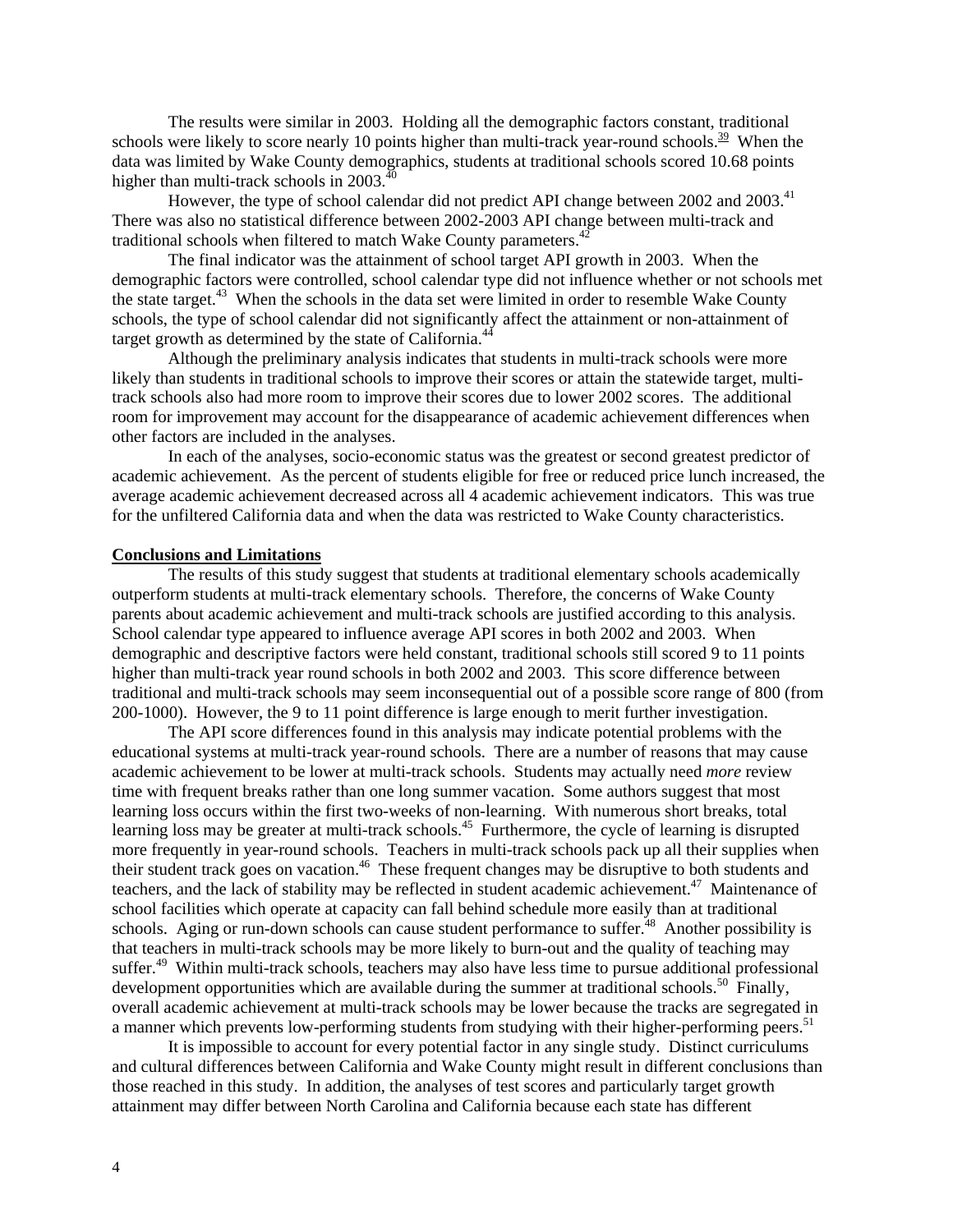The results were similar in 2003. Holding all the demographic factors constant, traditional schools were likely to score nearly 10 points higher than multi-track year-round schools.<sup>39</sup> When the data was limited by Wake County demographics, students at traditional schools scored 10.68 points higher than multi-track schools in  $2003$ .<sup>[40](#page-0-0)</sup>

However, the type of school calendar did not predict API change between 2002 and 2003.<sup>41</sup> There was also no statistical difference between 2002-2003 API change between multi-track and traditional schools when filtered to match Wake County parameters.<sup>42</sup>

The final indicator was the attainment of school target API growth in 2003. When the demographic factors were controlled, school calendar type did not influence whether or not schools met the state target.<sup>43</sup> When the schools in the data set were limited in order to resemble Wake County schools, the type of school calendar did not significantly affect the attainment or non-attainment of target growth as determined by the state of California.<sup>44</sup>

Although the preliminary analysis indicates that students in multi-track schools were more likely than students in traditional schools to improve their scores or attain the statewide target, multitrack schools also had more room to improve their scores due to lower 2002 scores. The additional room for improvement may account for the disappearance of academic achievement differences when other factors are included in the analyses.

In each of the analyses, socio-economic status was the greatest or second greatest predictor of academic achievement. As the percent of students eligible for free or reduced price lunch increased, the average academic achievement decreased across all 4 academic achievement indicators. This was true for the unfiltered California data and when the data was restricted to Wake County characteristics.

### **Conclusions and Limitations**

The results of this study suggest that students at traditional elementary schools academically outperform students at multi-track elementary schools. Therefore, the concerns of Wake County parents about academic achievement and multi-track schools are justified according to this analysis. School calendar type appeared to influence average API scores in both 2002 and 2003. When demographic and descriptive factors were held constant, traditional schools still scored 9 to 11 points higher than multi-track year round schools in both 2002 and 2003. This score difference between traditional and multi-track schools may seem inconsequential out of a possible score range of 800 (from 200-1000). However, the 9 to 11 point difference is large enough to merit further investigation.

The API score differences found in this analysis may indicate potential problems with the educational systems at multi-track year-round schools. There are a number of reasons that may cause academic achievement to be lower at multi-track schools. Students may actually need *more* review time with frequent breaks rather than one long summer vacation. Some authors suggest that most learning loss occurs within the first two-weeks of non-learning. With numerous short breaks, total learning loss may be greater at multi-track schools.<sup>45</sup> Furthermore, the cycle of learning is disrupted more frequently in year-round schools. Teachers in multi-track schools pack up all their supplies when their student track goes on vacation.<sup>46</sup> These frequent changes may be disruptive to both students and teachers, and the lack of stability may be reflected in student academic achievement.<sup>47</sup> Maintenance of school facilities which operate at capacity can fall behind schedule more easily than at traditional schools. Aging or run-down schools can cause student performance to suffer.<sup>[48](#page-0-0)</sup> Another possibility is that teachers in multi-track schools may be more likely to burn-out and the quality of teaching may suffer.<sup>[49](#page-0-0)</sup> Within multi-track schools, teachers may also have less time to pursue additional professional development opportunities which are available during the summer at traditional schools.<sup>50</sup> Finally, overall academic achievement at multi-track schools may be lower because the tracks are segregated in a manner which prevents low-performing students from studying with their higher-performing peers.<sup>51</sup>

It is impossible to account for every potential factor in any single study. Distinct curriculums and cultural differences between California and Wake County might result in different conclusions than those reached in this study. In addition, the analyses of test scores and particularly target growth attainment may differ between North Carolina and California because each state has different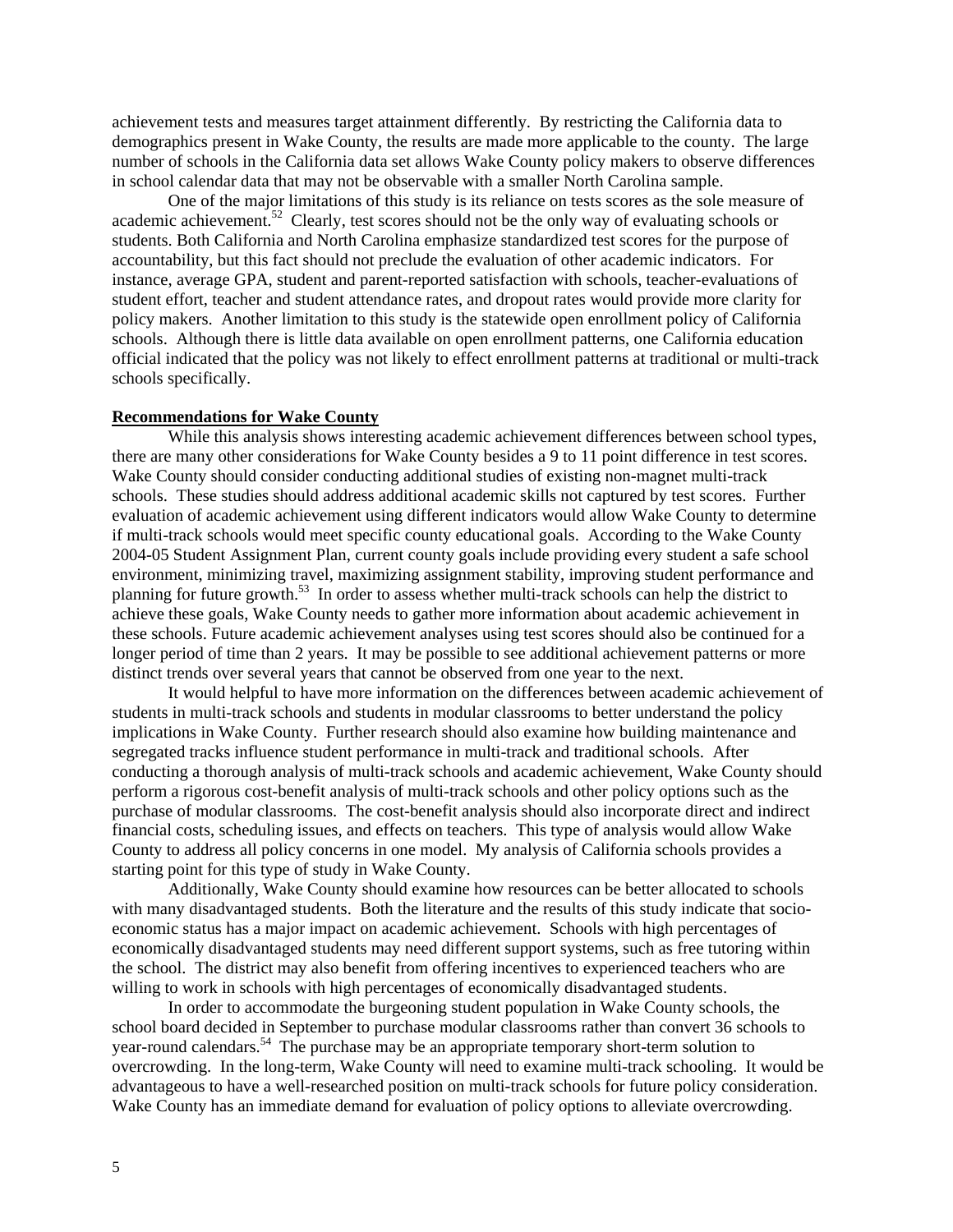achievement tests and measures target attainment differently. By restricting the California data to demographics present in Wake County, the results are made more applicable to the county. The large number of schools in the California data set allows Wake County policy makers to observe differences in school calendar data that may not be observable with a smaller North Carolina sample.

One of the major limitations of this study is its reliance on tests scores as the sole measure of academic achievement.<sup>52</sup> Clearly, test scores should not be the only way of evaluating schools or students. Both California and North Carolina emphasize standardized test scores for the purpose of accountability, but this fact should not preclude the evaluation of other academic indicators. For instance, average GPA, student and parent-reported satisfaction with schools, teacher-evaluations of student effort, teacher and student attendance rates, and dropout rates would provide more clarity for policy makers. Another limitation to this study is the statewide open enrollment policy of California schools. Although there is little data available on open enrollment patterns, one California education official indicated that the policy was not likely to effect enrollment patterns at traditional or multi-track schools specifically.

#### **Recommendations for Wake County**

While this analysis shows interesting academic achievement differences between school types, there are many other considerations for Wake County besides a 9 to 11 point difference in test scores. Wake County should consider conducting additional studies of existing non-magnet multi-track schools. These studies should address additional academic skills not captured by test scores. Further evaluation of academic achievement using different indicators would allow Wake County to determine if multi-track schools would meet specific county educational goals. According to the Wake County 2004-05 Student Assignment Plan, current county goals include providing every student a safe school environment, minimizing travel, maximizing assignment stability, improving student performance and planning for future growth.[53](#page-0-0) In order to assess whether multi-track schools can help the district to achieve these goals, Wake County needs to gather more information about academic achievement in these schools. Future academic achievement analyses using test scores should also be continued for a longer period of time than 2 years. It may be possible to see additional achievement patterns or more distinct trends over several years that cannot be observed from one year to the next.

It would helpful to have more information on the differences between academic achievement of students in multi-track schools and students in modular classrooms to better understand the policy implications in Wake County. Further research should also examine how building maintenance and segregated tracks influence student performance in multi-track and traditional schools. After conducting a thorough analysis of multi-track schools and academic achievement, Wake County should perform a rigorous cost-benefit analysis of multi-track schools and other policy options such as the purchase of modular classrooms. The cost-benefit analysis should also incorporate direct and indirect financial costs, scheduling issues, and effects on teachers. This type of analysis would allow Wake County to address all policy concerns in one model. My analysis of California schools provides a starting point for this type of study in Wake County.

Additionally, Wake County should examine how resources can be better allocated to schools with many disadvantaged students. Both the literature and the results of this study indicate that socioeconomic status has a major impact on academic achievement. Schools with high percentages of economically disadvantaged students may need different support systems, such as free tutoring within the school. The district may also benefit from offering incentives to experienced teachers who are willing to work in schools with high percentages of economically disadvantaged students.

In order to accommodate the burgeoning student population in Wake County schools, the school board decided in September to purchase modular classrooms rather than convert 36 schools to year-round calendars[.54](#page-0-0) The purchase may be an appropriate temporary short-term solution to overcrowding. In the long-term, Wake County will need to examine multi-track schooling. It would be advantageous to have a well-researched position on multi-track schools for future policy consideration. Wake County has an immediate demand for evaluation of policy options to alleviate overcrowding.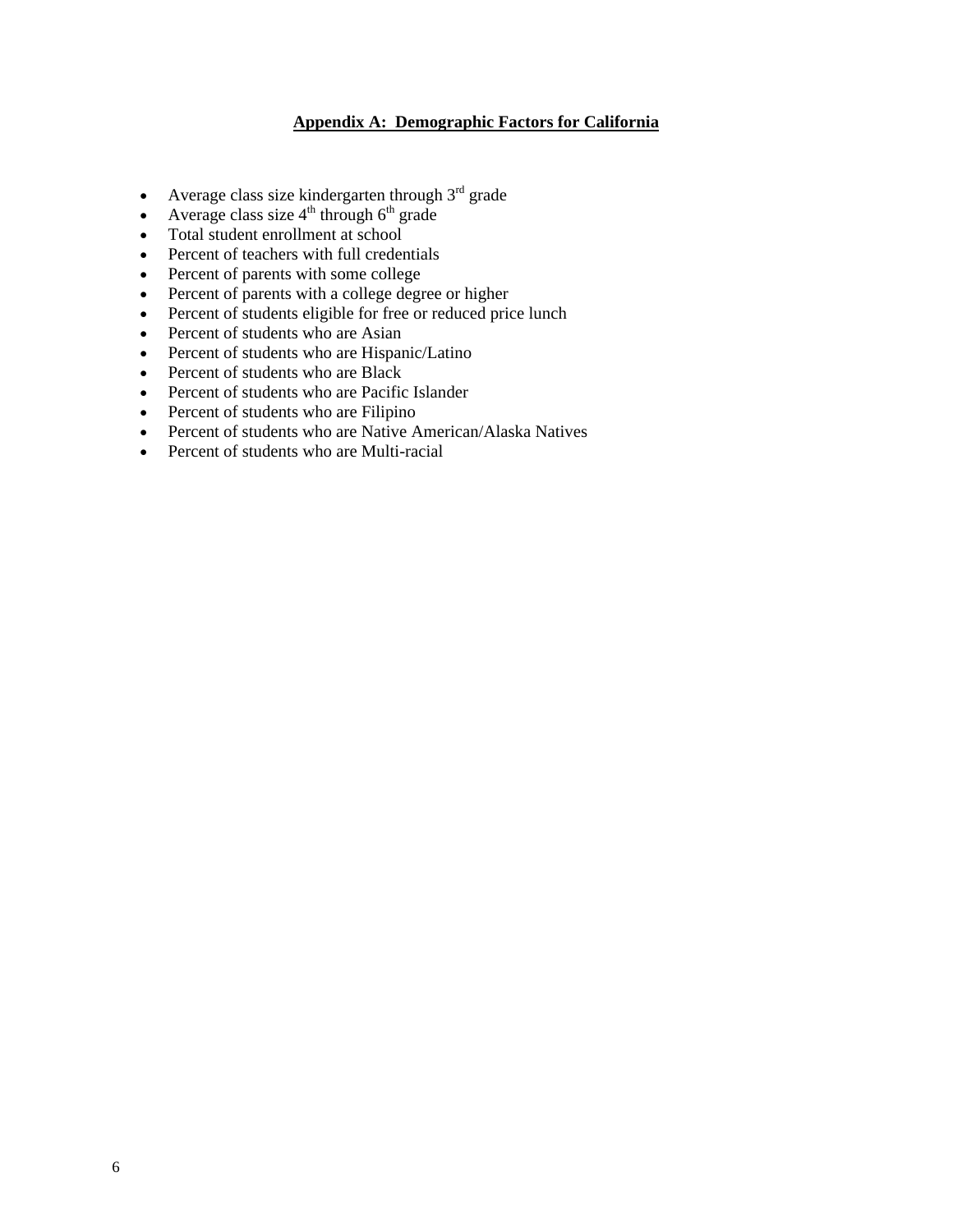## **Appendix A: Demographic Factors for California**

- Average class size kindergarten through  $3<sup>rd</sup>$  grade
- Average class size  $4<sup>th</sup>$  through  $6<sup>th</sup>$  grade
- Total student enrollment at school
- Percent of teachers with full credentials
- Percent of parents with some college
- Percent of parents with a college degree or higher
- Percent of students eligible for free or reduced price lunch
- Percent of students who are Asian
- Percent of students who are Hispanic/Latino
- Percent of students who are Black
- Percent of students who are Pacific Islander
- Percent of students who are Filipino
- Percent of students who are Native American/Alaska Natives
- Percent of students who are Multi-racial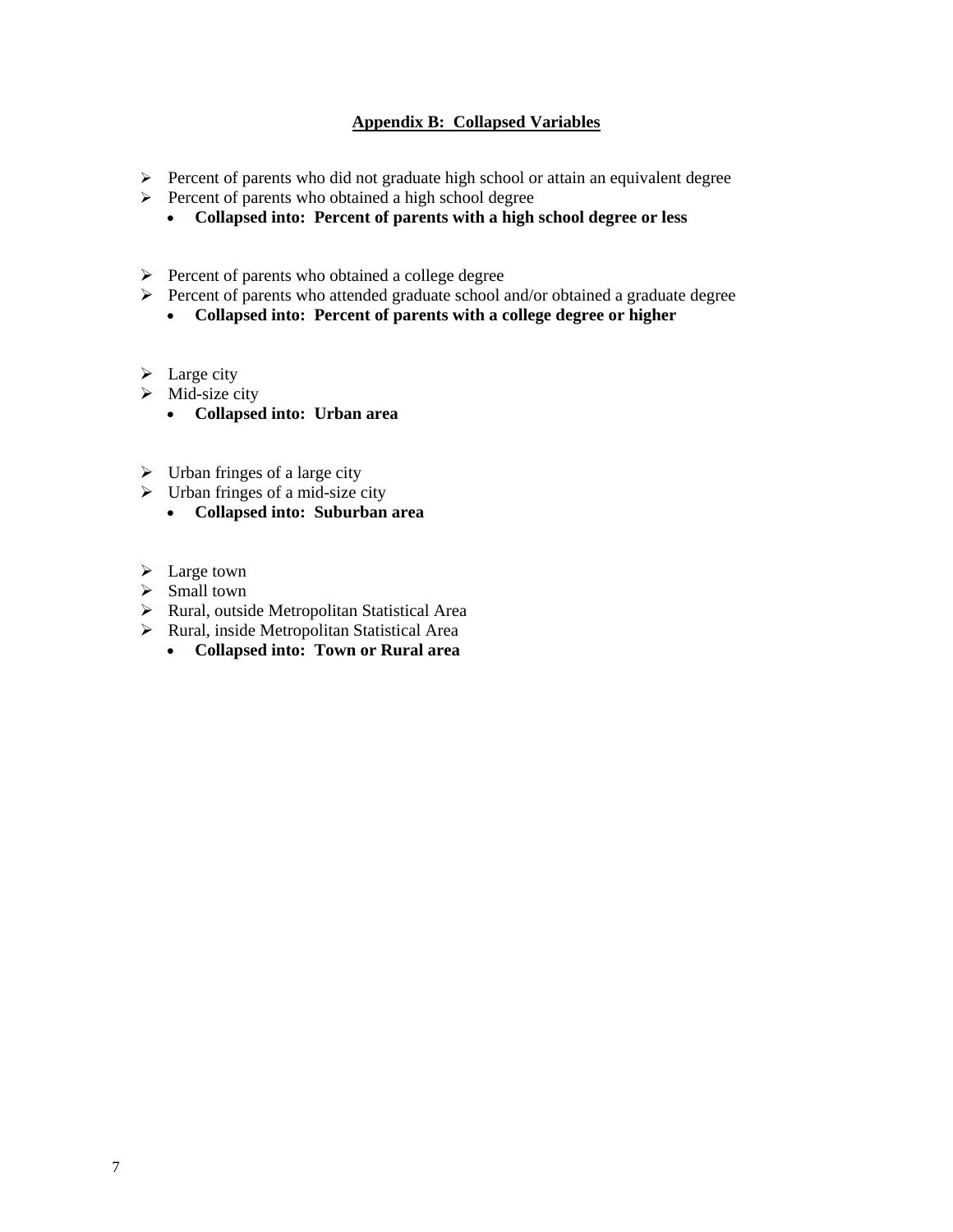### **Appendix B: Collapsed Variables**

- ¾ Percent of parents who did not graduate high school or attain an equivalent degree
- ¾ Percent of parents who obtained a high school degree
	- **Collapsed into: Percent of parents with a high school degree or less**
- $\triangleright$  Percent of parents who obtained a college degree
- $\triangleright$  Percent of parents who attended graduate school and/or obtained a graduate degree
	- **Collapsed into: Percent of parents with a college degree or higher**
- $\triangleright$  Large city
- $\triangleright$  Mid-size city
	- **Collapsed into: Urban area**
- $\triangleright$  Urban fringes of a large city
- $\triangleright$  Urban fringes of a mid-size city
	- **Collapsed into: Suburban area**
- $\blacktriangleright$  Large town
- $\triangleright$  Small town
- $\triangleright$  Rural, outside Metropolitan Statistical Area
- $\triangleright$  Rural, inside Metropolitan Statistical Area
	- **Collapsed into: Town or Rural area**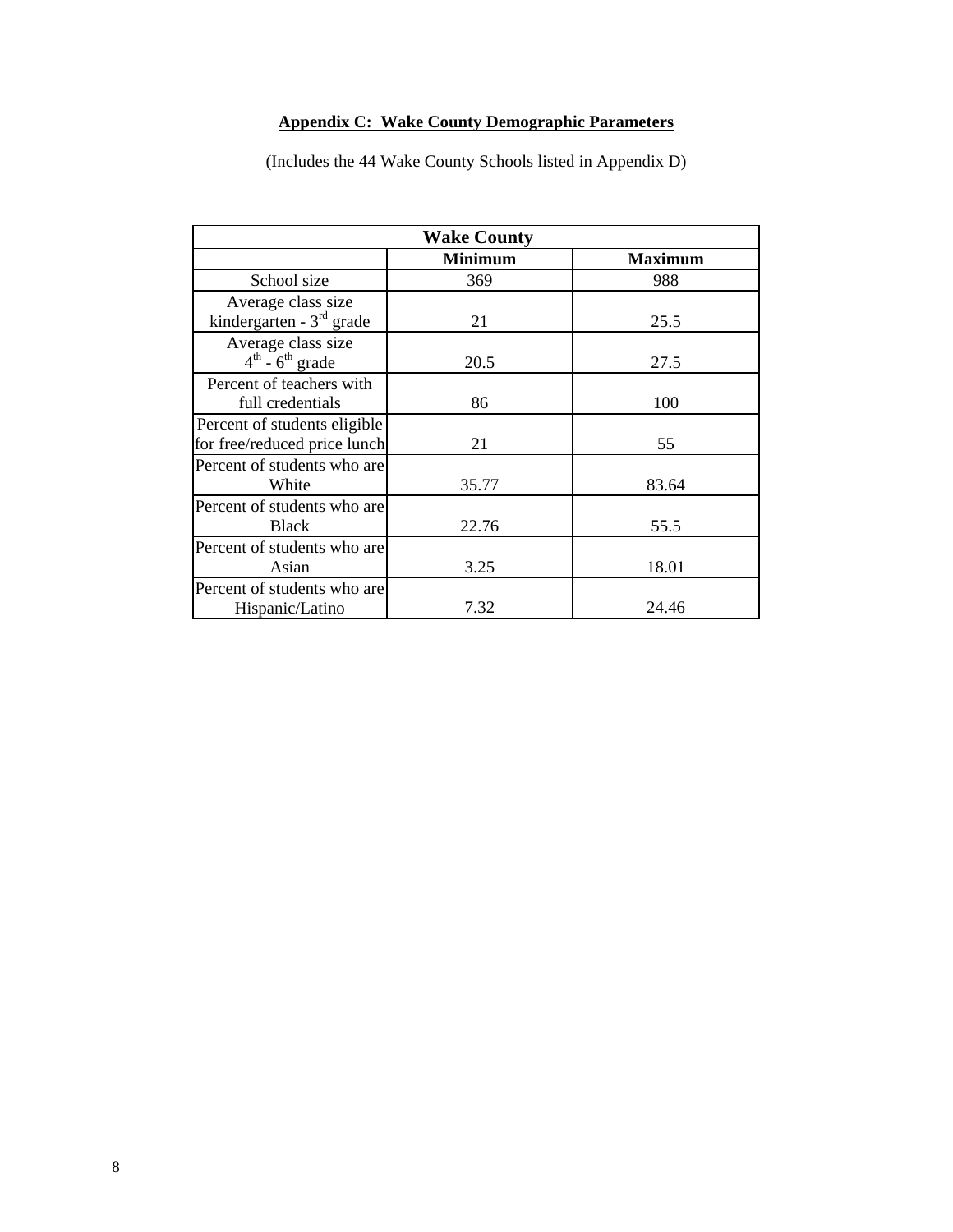# **Appendix C: Wake County Demographic Parameters**

| <b>Wake County</b>                                            |                |                |  |  |  |  |  |
|---------------------------------------------------------------|----------------|----------------|--|--|--|--|--|
|                                                               | <b>Minimum</b> | <b>Maximum</b> |  |  |  |  |  |
| School size                                                   | 369            | 988            |  |  |  |  |  |
| Average class size<br>kindergarten - $3rd$ grade              | 21             | 25.5           |  |  |  |  |  |
| Average class size<br>$4^{\text{th}}$ - $6^{\text{th}}$ grade | 20.5           | 27.5           |  |  |  |  |  |
| Percent of teachers with<br>full credentials                  | 86             | 100            |  |  |  |  |  |
| Percent of students eligible<br>for free/reduced price lunch  | 21             | 55             |  |  |  |  |  |
| Percent of students who are<br>White                          | 35.77          | 83.64          |  |  |  |  |  |
| Percent of students who are<br><b>Black</b>                   | 22.76          | 55.5           |  |  |  |  |  |
| Percent of students who are<br>Asian                          | 3.25           | 18.01          |  |  |  |  |  |
| Percent of students who are<br>Hispanic/Latino                | 7.32           | 24.46          |  |  |  |  |  |

(Includes the 44 Wake County Schools listed in Appendix D)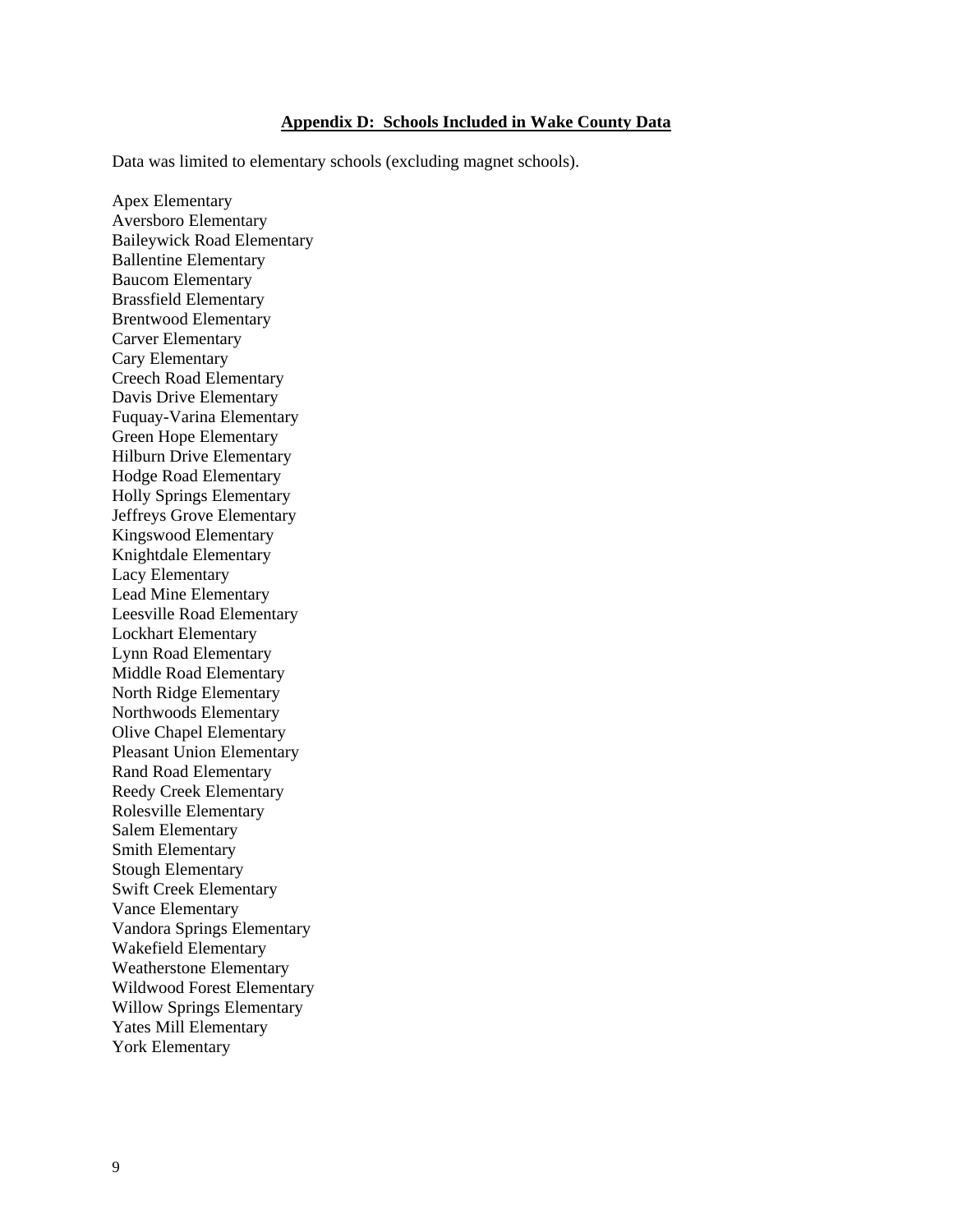#### **Appendix D: Schools Included in Wake County Data**

Data was limited to elementary schools (excluding magnet schools).

Apex Elementary Aversboro Elementary Baileywick Road Elementary Ballentine Elementary Baucom Elementary Brassfield Elementary Brentwood Elementary Carver Elementary Cary Elementary Creech Road Elementary Davis Drive Elementary Fuquay-Varina Elementary Green Hope Elementary Hilburn Drive Elementary Hodge Road Elementary Holly Springs Elementary Jeffreys Grove Elementary Kingswood Elementary Knightdale Elementary Lacy Elementary Lead Mine Elementary Leesville Road Elementary Lockhart Elementary Lynn Road Elementary Middle Road Elementary North Ridge Elementary Northwoods Elementary Olive Chapel Elementary Pleasant Union Elementary Rand Road Elementary Reedy Creek Elementary Rolesville Elementary Salem Elementary Smith Elementary Stough Elementary Swift Creek Elementary Vance Elementary Vandora Springs Elementary Wakefield Elementary Weatherstone Elementary Wildwood Forest Elementary Willow Springs Elementary Yates Mill Elementary York Elementary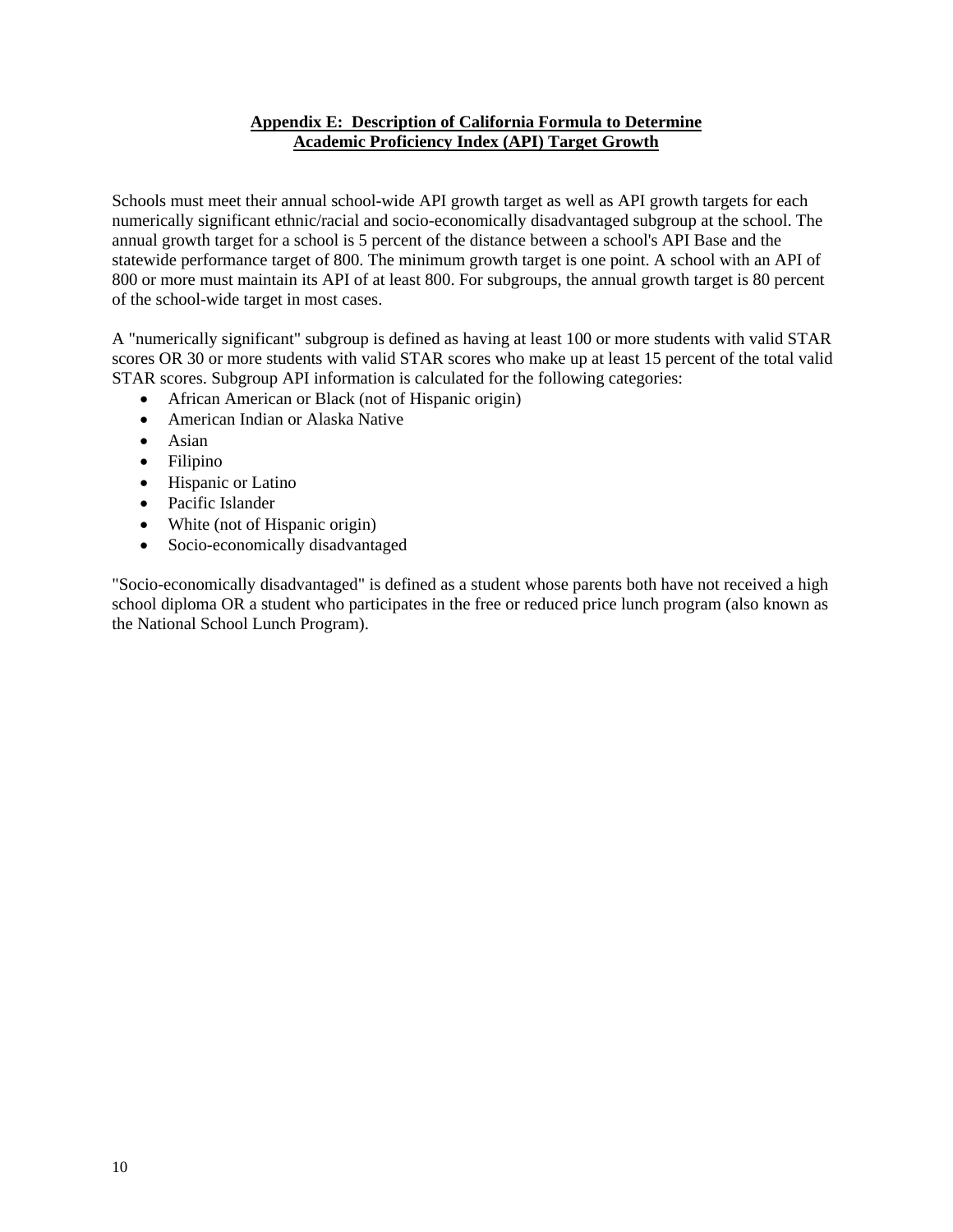### **Appendix E: Description of California Formula to Determine Academic Proficiency Index (API) Target Growth**

Schools must meet their annual school-wide API growth target as well as API growth targets for each numerically significant ethnic/racial and socio-economically disadvantaged subgroup at the school. The annual growth target for a school is 5 percent of the distance between a school's API Base and the statewide performance target of 800. The minimum growth target is one point. A school with an API of 800 or more must maintain its API of at least 800. For subgroups, the annual growth target is 80 percent of the school-wide target in most cases.

A "numerically significant" subgroup is defined as having at least 100 or more students with valid STAR scores OR 30 or more students with valid STAR scores who make up at least 15 percent of the total valid STAR scores. Subgroup API information is calculated for the following categories:

- African American or Black (not of Hispanic origin)
- American Indian or Alaska Native
- Asian
- Filipino
- Hispanic or Latino
- Pacific Islander
- White (not of Hispanic origin)
- Socio-economically disadvantaged

"Socio-economically disadvantaged" is defined as a student whose parents both have not received a high school diploma OR a student who participates in the free or reduced price lunch program (also known as the National School Lunch Program).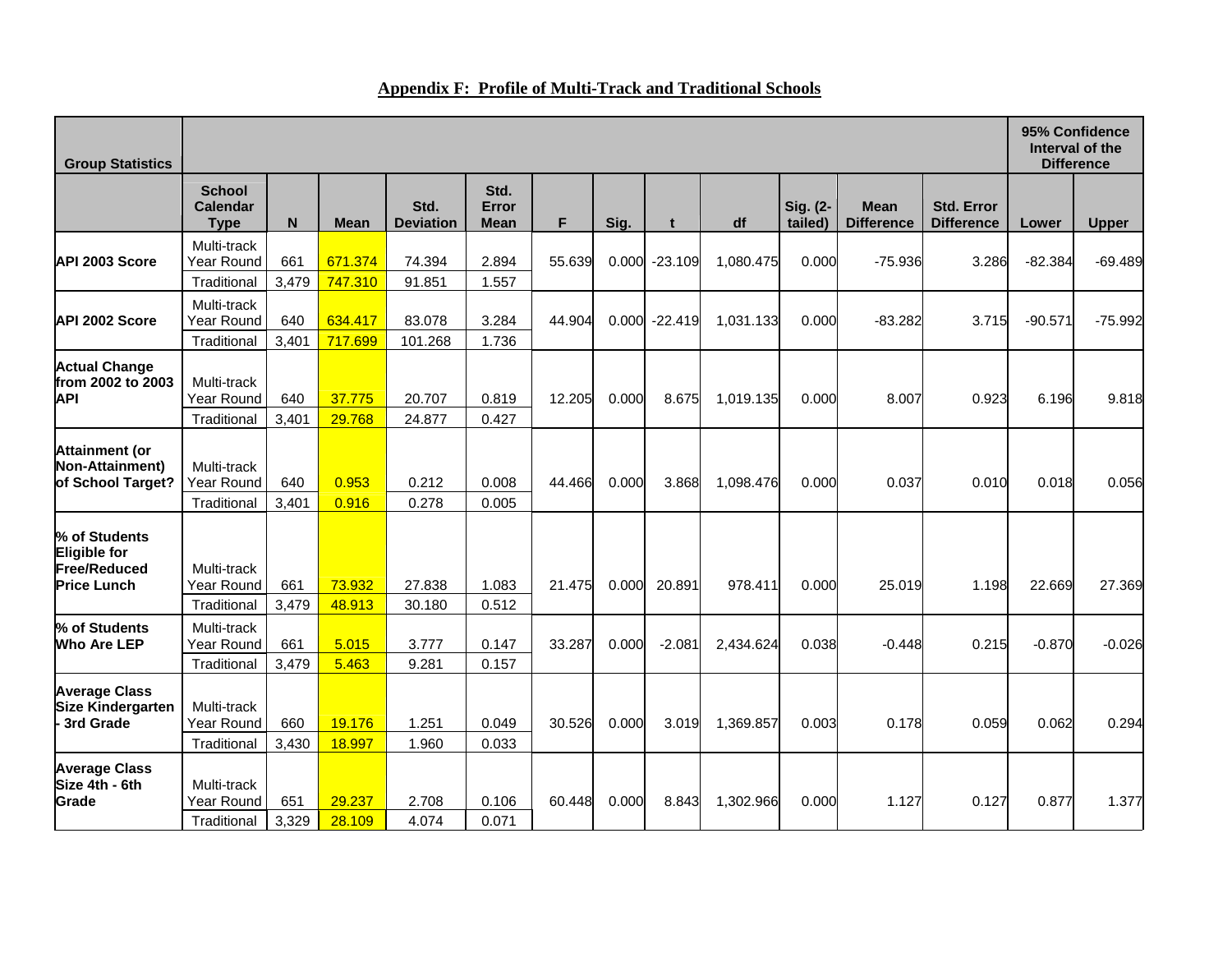| <b>Group Statistics</b>                                                           |                                                 |              |                    |                          |                       |        |       |           | 95% Confidence<br>Interval of the<br><b>Difference</b> |                     |                                  |                                        |           |              |
|-----------------------------------------------------------------------------------|-------------------------------------------------|--------------|--------------------|--------------------------|-----------------------|--------|-------|-----------|--------------------------------------------------------|---------------------|----------------------------------|----------------------------------------|-----------|--------------|
|                                                                                   | <b>School</b><br><b>Calendar</b><br><b>Type</b> | N            | <b>Mean</b>        | Std.<br><b>Deviation</b> | Std.<br>Error<br>Mean | F.     | Sig.  | t         | df                                                     | Sig. (2-<br>tailed) | <b>Mean</b><br><b>Difference</b> | <b>Std. Error</b><br><b>Difference</b> | Lower     | <b>Upper</b> |
| API 2003 Score                                                                    | Multi-track<br>Year Round<br>Traditional        | 661<br>3,479 | 671.374<br>747.310 | 74.394<br>91.851         | 2.894<br>1.557        | 55.639 | 0.000 | $-23.109$ | 1.080.475                                              | 0.000               | $-75.936$                        | 3.286                                  | $-82.384$ | $-69.489$    |
| API 2002 Score                                                                    | Multi-track<br>Year Round<br>Traditional        | 640<br>3,401 | 634.417<br>717.699 | 83.078<br>101.268        | 3.284<br>1.736        | 44.904 | 0.000 | $-22.419$ | 1,031.133                                              | 0.000               | $-83.282$                        | 3.715                                  | $-90.571$ | $-75.992$    |
| <b>Actual Change</b><br>from 2002 to 2003<br><b>API</b>                           | Multi-track<br>Year Round<br>Traditional        | 640<br>3,401 | 37.775<br>29.768   | 20.707<br>24.877         | 0.819<br>0.427        | 12.205 | 0.000 | 8.675     | 1,019.135                                              | 0.000               | 8.007                            | 0.923                                  | 6.196     | 9.818        |
| <b>Attainment (or</b><br>Non-Attainment)<br>of School Target?                     | Multi-track<br>Year Round<br>Traditional        | 640<br>3,401 | 0.953<br>0.916     | 0.212<br>0.278           | 0.008<br>0.005        | 44.466 | 0.000 | 3.868     | 1,098.476                                              | 0.000               | 0.037                            | 0.010                                  | 0.018     | 0.056        |
| % of Students<br><b>Eligible for</b><br><b>Free/Reduced</b><br><b>Price Lunch</b> | Multi-track<br>Year Round<br>Traditional        | 661<br>3,479 | 73.932<br>48.913   | 27.838<br>30.180         | 1.083<br>0.512        | 21.475 | 0.000 | 20.891    | 978.411                                                | 0.000               | 25.019                           | 1.198                                  | 22.669    | 27.369       |
| % of Students<br><b>Who Are LEP</b>                                               | Multi-track<br>Year Round<br>Traditional        | 661<br>3,479 | 5.015<br>5.463     | 3.777<br>9.281           | 0.147<br>0.157        | 33.287 | 0.000 | $-2.081$  | 2.434.624                                              | 0.038               | $-0.448$                         | 0.215                                  | $-0.870$  | $-0.026$     |
| <b>Average Class</b><br>Size Kindergarten<br>- 3rd Grade                          | Multi-track<br>Year Round<br>Traditional        | 660<br>3,430 | 19.176<br>18.997   | 1.251<br>1.960           | 0.049<br>0.033        | 30.526 | 0.000 | 3.019     | 1,369.857                                              | 0.003               | 0.178                            | 0.059                                  | 0.062     | 0.294        |
| <b>Average Class</b><br>Size 4th - 6th<br>Grade                                   | Multi-track<br>Year Round<br>Traditional        | 651<br>3,329 | 29.237<br>28.109   | 2.708<br>4.074           | 0.106<br>0.071        | 60.448 | 0.000 | 8.843     | 1,302.966                                              | 0.000               | 1.127                            | 0.127                                  | 0.877     | 1.377        |

## **Appendix F: Profile of Multi-Track and Traditional Schools**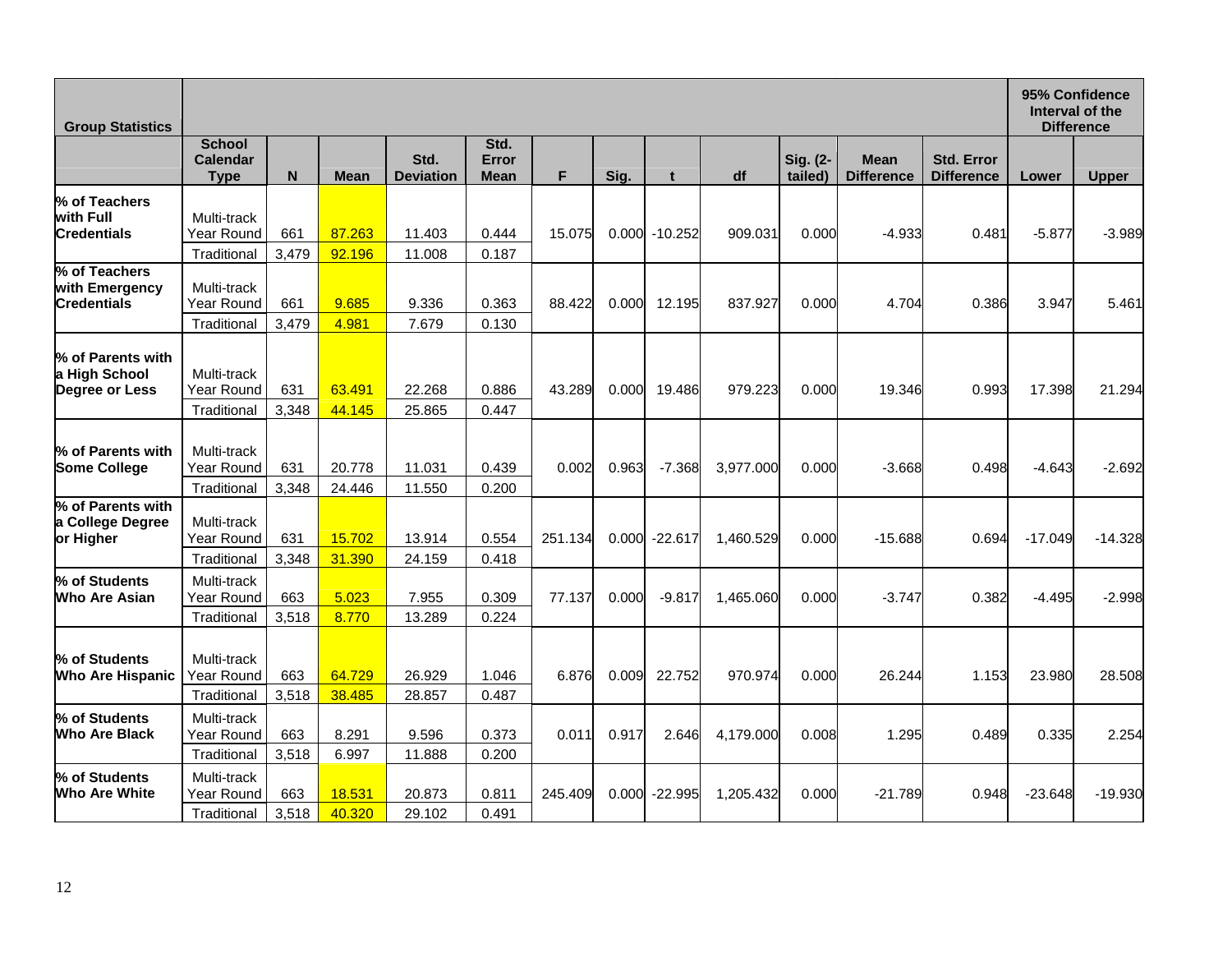| <b>Group Statistics</b>                               |                                                         |                       |                          |                          |                              |         |       |           |           |                     | 95% Confidence<br>Interval of the<br><b>Difference</b> |                                        |           |              |
|-------------------------------------------------------|---------------------------------------------------------|-----------------------|--------------------------|--------------------------|------------------------------|---------|-------|-----------|-----------|---------------------|--------------------------------------------------------|----------------------------------------|-----------|--------------|
|                                                       | <b>School</b><br>Calendar<br><b>Type</b>                | N                     | <b>Mean</b>              | Std.<br><b>Deviation</b> | Std.<br>Error<br><b>Mean</b> | F       | Sig.  | t         | df        | Sig. (2-<br>tailed) | <b>Mean</b><br><b>Difference</b>                       | <b>Std. Error</b><br><b>Difference</b> | Lower     | <b>Upper</b> |
| % of Teachers<br>with Full<br><b>Credentials</b>      | Multi-track<br>Year Round                               | 661                   | 87.263                   | 11.403                   | 0.444                        | 15.075  | 0.000 | $-10.252$ | 909.031   | 0.000               | $-4.933$                                               | 0.481                                  | $-5.877$  | $-3.989$     |
| % of Teachers<br>with Emergency<br><b>Credentials</b> | Traditional<br>Multi-track<br>Year Round<br>Traditional | 3,479<br>661<br>3,479 | 92.196<br>9.685<br>4.981 | 11.008<br>9.336<br>7.679 | 0.187<br>0.363<br>0.130      | 88.422  | 0.000 | 12.195    | 837.927   | 0.000               | 4.704                                                  | 0.386                                  | 3.947     | 5.461        |
| % of Parents with<br>a High School<br>Degree or Less  | Multi-track<br>Year Round<br>Traditional                | 631<br>3,348          | 63.491<br>44.145         | 22.268<br>25.865         | 0.886<br>0.447               | 43.289  | 0.000 | 19.486    | 979.223   | 0.000               | 19.346                                                 | 0.993                                  | 17.398    | 21.294       |
| % of Parents with<br><b>Some College</b>              | Multi-track<br>Year Round<br>Traditional                | 631<br>3,348          | 20.778<br>24.446         | 11.031<br>11.550         | 0.439<br>0.200               | 0.002   | 0.963 | $-7.368$  | 3,977.000 | 0.000               | $-3.668$                                               | 0.498                                  | $-4.643$  | $-2.692$     |
| % of Parents with<br>a College Degree<br>or Higher    | Multi-track<br>Year Round<br>Traditional                | 631<br>3,348          | 15.702<br>31.390         | 13.914<br>24.159         | 0.554<br>0.418               | 251.134 | 0.000 | $-22.617$ | 1,460.529 | 0.000               | $-15.688$                                              | 0.694                                  | $-17.049$ | $-14.328$    |
| % of Students<br><b>Who Are Asian</b>                 | Multi-track<br>Year Round<br>Traditional                | 663<br>3,518          | 5.023<br>8.770           | 7.955<br>13.289          | 0.309<br>0.224               | 77.137  | 0.000 | $-9.817$  | 1,465.060 | 0.000               | $-3.747$                                               | 0.382                                  | $-4.495$  | $-2.998$     |
| % of Students<br><b>Who Are Hispanic</b>              | Multi-track<br>Year Round<br>Traditional                | 663<br>3,518          | 64.729<br>38.485         | 26.929<br>28.857         | 1.046<br>0.487               | 6.876   | 0.009 | 22.752    | 970.974   | 0.000               | 26.244                                                 | 1.153                                  | 23.980    | 28.508       |
| % of Students<br>Who Are Black                        | Multi-track<br>Year Round<br>Traditional                | 663<br>3,518          | 8.291<br>6.997           | 9.596<br>11.888          | 0.373<br>0.200               | 0.011   | 0.917 | 2.646     | 4,179.000 | 0.008               | 1.295                                                  | 0.489                                  | 0.335     | 2.254        |
| % of Students<br><b>Who Are White</b>                 | Multi-track<br>Year Round<br>Traditional                | 663<br>3,518          | 18.531<br>40.320         | 20.873<br>29.102         | 0.811<br>0.491               | 245.409 | 0.000 | $-22.995$ | 1.205.432 | 0.000               | $-21.789$                                              | 0.948                                  | $-23.648$ | $-19.930$    |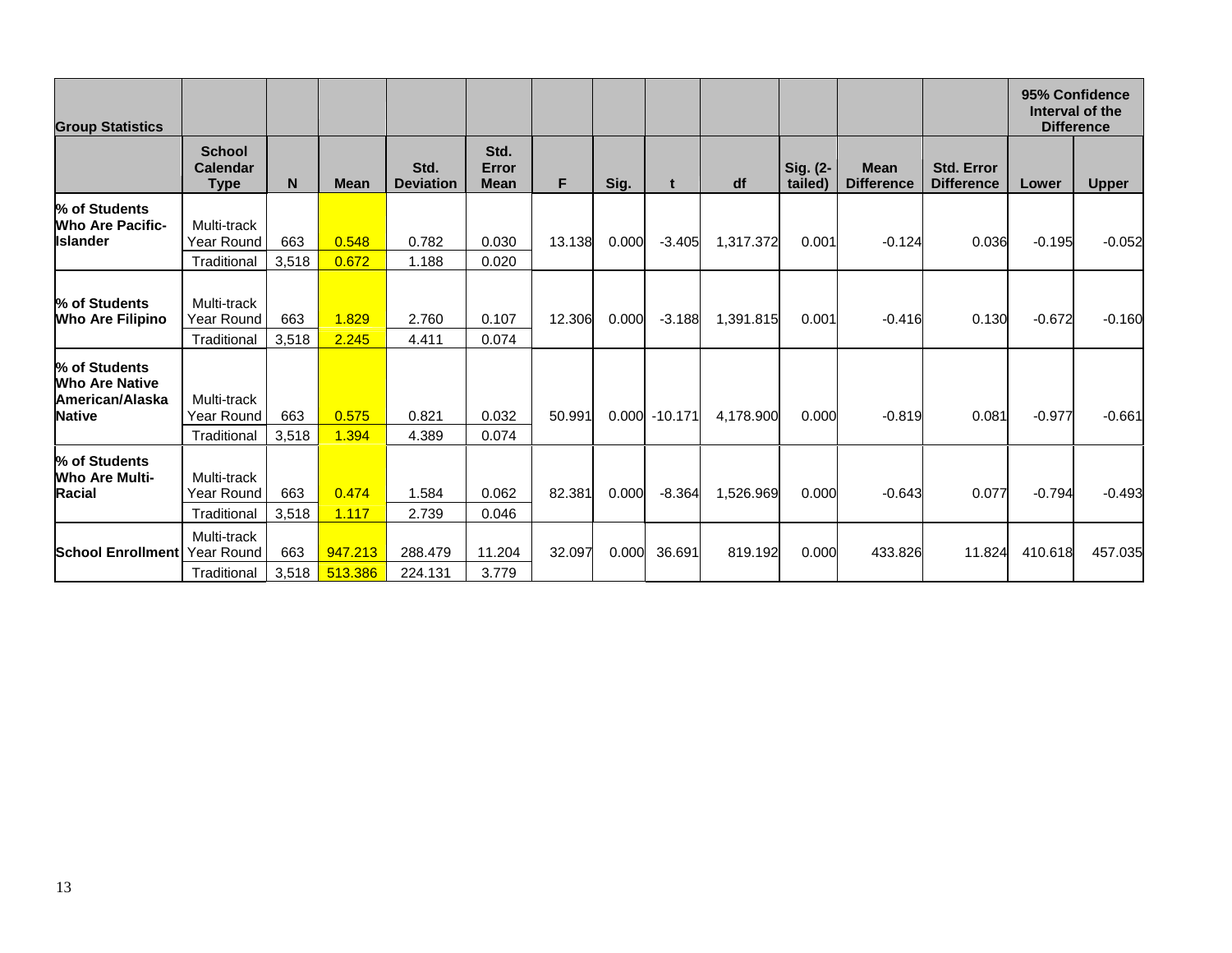| <b>Group Statistics</b>                                                           |                                          |              |                    |                          |                              |        |       |                  |           |                     |                                  |                                        |          | 95% Confidence<br>Interval of the<br><b>Difference</b> |
|-----------------------------------------------------------------------------------|------------------------------------------|--------------|--------------------|--------------------------|------------------------------|--------|-------|------------------|-----------|---------------------|----------------------------------|----------------------------------------|----------|--------------------------------------------------------|
|                                                                                   | <b>School</b><br>Calendar<br><b>Type</b> | N            | <b>Mean</b>        | Std.<br><b>Deviation</b> | Std.<br>Error<br><b>Mean</b> | F.     | Sig.  | t                | df        | Sig. (2-<br>tailed) | <b>Mean</b><br><b>Difference</b> | <b>Std. Error</b><br><b>Difference</b> | Lower    | <b>Upper</b>                                           |
| % of Students<br><b>Who Are Pacific-</b><br><b>Islander</b>                       | Multi-track<br>Year Round<br>Traditional | 663<br>3,518 | 0.548<br>0.672     | 0.782<br>1.188           | 0.030<br>0.020               | 13.138 | 0.000 | $-3.405$         | 1,317.372 | 0.001               | $-0.124$                         | 0.036                                  | $-0.195$ | $-0.052$                                               |
| % of Students<br><b>Who Are Filipino</b>                                          | Multi-track<br>Year Round<br>Traditional | 663<br>3,518 | 1.829<br>2.245     | 2.760<br>4.411           | 0.107<br>0.074               | 12.306 | 0.000 | $-3.188$         | 1,391.815 | 0.001               | $-0.416$                         | 0.130                                  | $-0.672$ | $-0.160$                                               |
| % of Students<br><b>Who Are Native</b><br><b>American/Alaska</b><br><b>Native</b> | Multi-track<br>Year Round<br>Traditional | 663<br>3,518 | 0.575<br>1.394     | 0.821<br>4.389           | 0.032<br>0.074               | 50.991 |       | $0.000 - 10.171$ | 4,178.900 | 0.000               | $-0.819$                         | 0.081                                  | $-0.977$ | $-0.661$                                               |
| % of Students<br><b>Who Are Multi-</b><br><b>Racial</b>                           | Multi-track<br>Year Round<br>Traditional | 663<br>3,518 | 0.474<br>1.117     | 1.584<br>2.739           | 0.062<br>0.046               | 82.381 | 0.000 | $-8.364$         | 1,526.969 | 0.000               | $-0.643$                         | 0.077                                  | $-0.794$ | $-0.493$                                               |
| <b>School Enrollment</b> Year Round                                               | Multi-track<br>Traditional               | 663<br>3,518 | 947.213<br>513.386 | 288.479<br>224.131       | 11.204<br>3.779              | 32.097 | 0.000 | 36.691           | 819.192   | 0.000               | 433.826                          | 11.824                                 | 410.618  | 457.035                                                |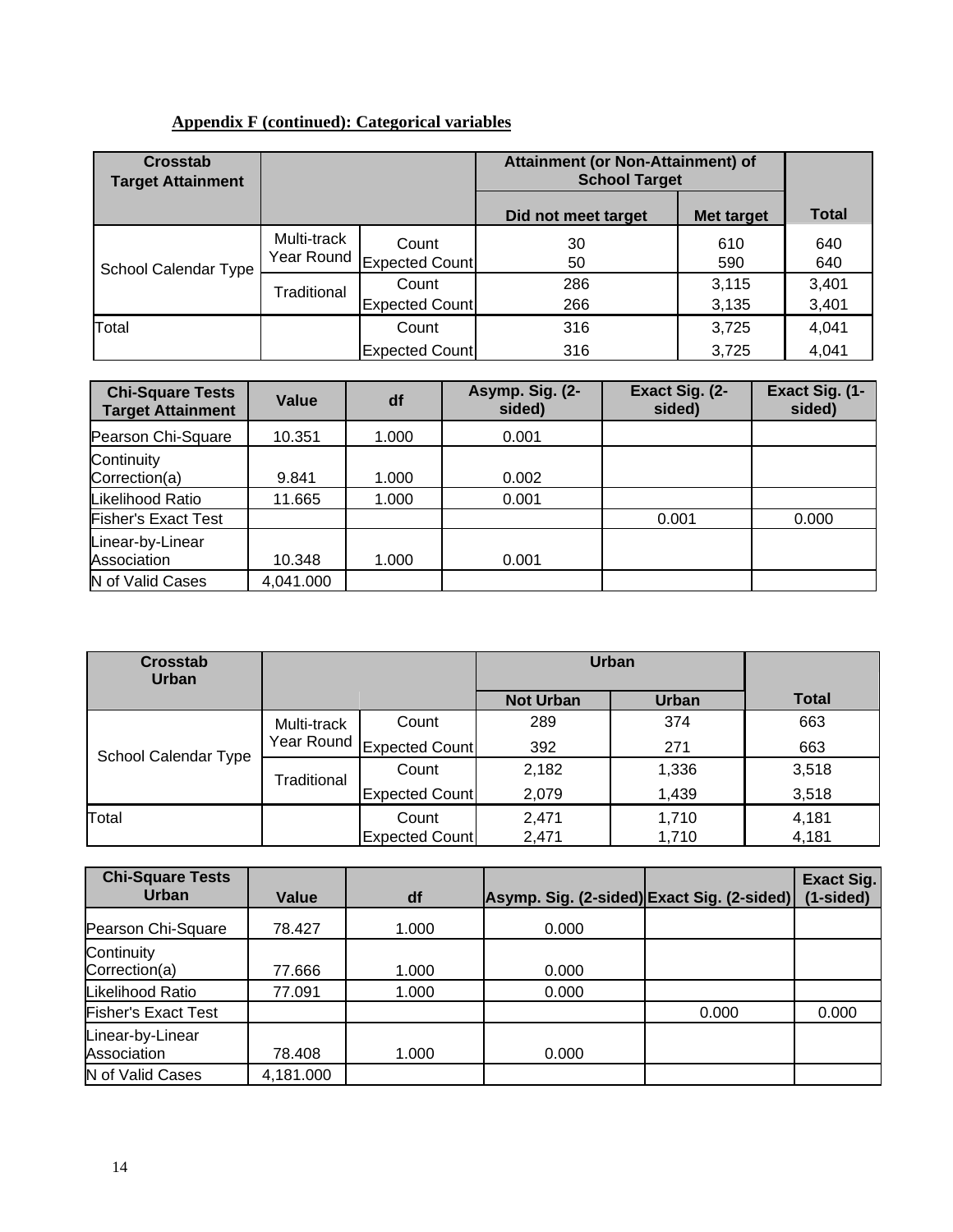# **Appendix F (continued): Categorical variables**

| <b>Crosstab</b><br><b>Target Attainment</b> |             |                                    | Attainment (or Non-Attainment) of<br><b>School Target</b> |                |                |
|---------------------------------------------|-------------|------------------------------------|-----------------------------------------------------------|----------------|----------------|
|                                             |             |                                    | Did not meet target                                       | Met target     | <b>Total</b>   |
| School Calendar Type                        | Multi-track | Count<br>Year Round Expected Count | 30<br>50                                                  | 610<br>590     | 640<br>640     |
|                                             | Traditional | Count<br><b>Expected Count</b>     | 286<br>266                                                | 3,115<br>3,135 | 3,401<br>3,401 |
| Total                                       |             | Count                              | 316                                                       | 3,725          | 4,041          |
|                                             |             | <b>Expected Count</b>              | 316                                                       | 3.725          | 4,041          |

| <b>Chi-Square Tests</b><br><b>Target Attainment</b> | Value     | df    | Asymp. Sig. (2-<br>sided) | Exact Sig. (2-<br>sided) | Exact Sig. (1-<br>sided) |
|-----------------------------------------------------|-----------|-------|---------------------------|--------------------------|--------------------------|
| Pearson Chi-Square                                  | 10.351    | 1.000 | 0.001                     |                          |                          |
| Continuity<br>Correction(a)                         | 9.841     | 1.000 | 0.002                     |                          |                          |
| Likelihood Ratio                                    | 11.665    | 1.000 | 0.001                     |                          |                          |
| <b>Fisher's Exact Test</b>                          |           |       |                           | 0.001                    | 0.000                    |
| Linear-by-Linear<br>Association                     | 10.348    | 1.000 | 0.001                     |                          |                          |
| N of Valid Cases                                    | 4,041.000 |       |                           |                          |                          |

| <b>Crosstab</b><br><b>Urban</b> |             |                           |                  | <b>Urban</b> |              |
|---------------------------------|-------------|---------------------------|------------------|--------------|--------------|
|                                 |             |                           | <b>Not Urban</b> | <b>Urban</b> | <b>Total</b> |
|                                 | Multi-track | Count                     | 289              | 374          | 663          |
| School Calendar Type            |             | Year Round Expected Count | 392              | 271          | 663          |
|                                 | Traditional | Count                     | 2,182            | 1,336        | 3,518        |
|                                 |             | <b>Expected Count</b>     | 2,079            | 1,439        | 3,518        |
| Total                           |             | Count                     | 2,471            | 1,710        | 4,181        |
|                                 |             | <b>Expected Count</b>     | 2,471            | 1,710        | 4,181        |

| <b>Chi-Square Tests</b><br>Urban | Value     | df    | Asymp. Sig. (2-sided) Exact Sig. (2-sided) |       | <b>Exact Sig.</b><br>(1-sided) |
|----------------------------------|-----------|-------|--------------------------------------------|-------|--------------------------------|
| Pearson Chi-Square               | 78.427    | 1.000 | 0.000                                      |       |                                |
| Continuity<br>Correction(a)      | 77.666    | 1.000 | 0.000                                      |       |                                |
| Likelihood Ratio                 | 77.091    | 1.000 | 0.000                                      |       |                                |
| <b>Fisher's Exact Test</b>       |           |       |                                            | 0.000 | 0.000                          |
| Linear-by-Linear<br>Association  | 78.408    | 1.000 | 0.000                                      |       |                                |
| N of Valid Cases                 | 4,181.000 |       |                                            |       |                                |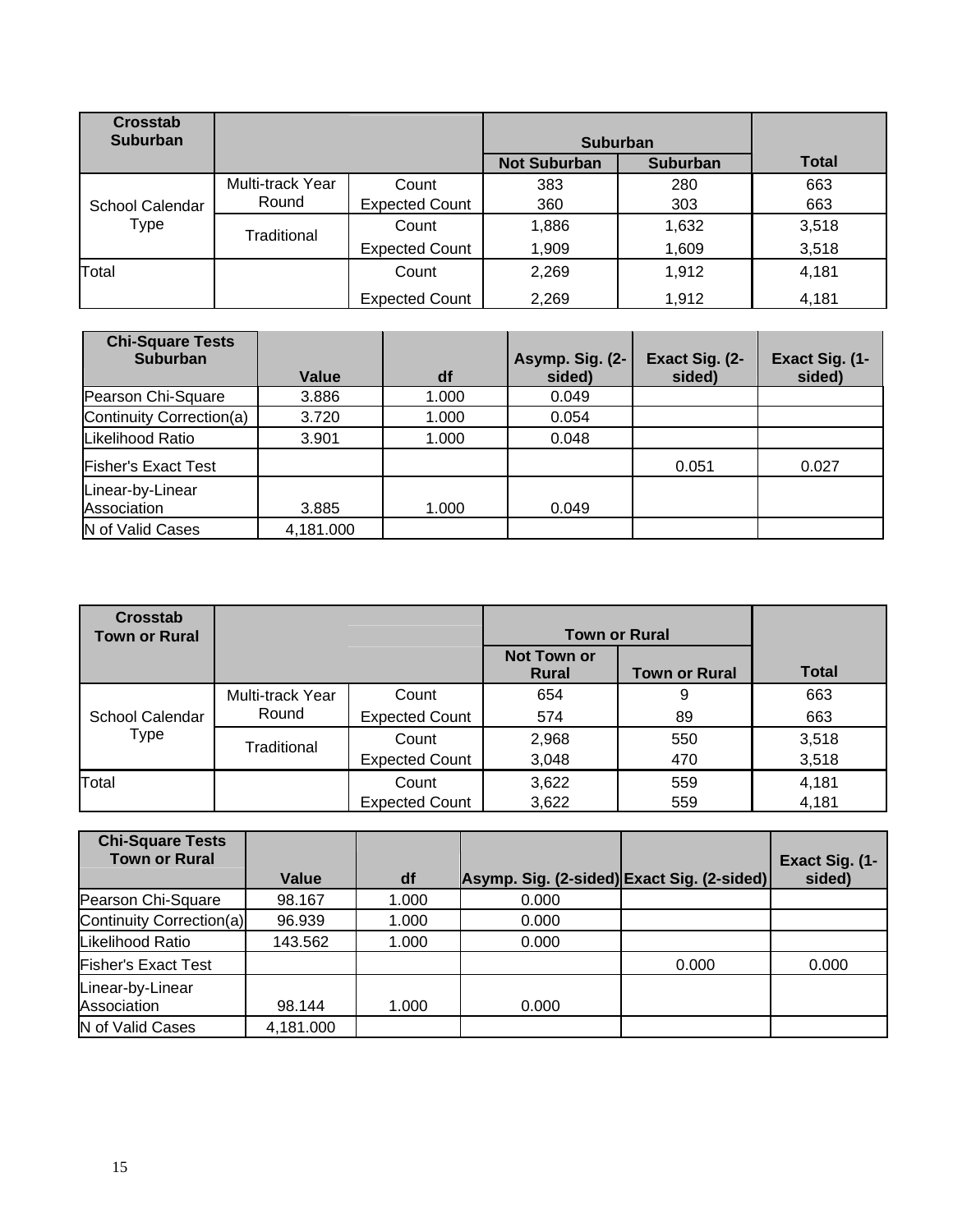| <b>Crosstab</b><br><b>Suburban</b> |                           |                                | <b>Suburban</b>     |                 |              |
|------------------------------------|---------------------------|--------------------------------|---------------------|-----------------|--------------|
|                                    |                           |                                | <b>Not Suburban</b> | <b>Suburban</b> | <b>Total</b> |
| School Calendar                    | Multi-track Year<br>Round | Count<br><b>Expected Count</b> | 383<br>360          | 280<br>303      | 663<br>663   |
| <b>Type</b>                        | Traditional               | Count                          | 1,886               | 1,632           | 3,518        |
|                                    |                           | <b>Expected Count</b>          | 1,909               | 1,609           | 3,518        |
| Total                              |                           | Count                          | 2,269               | 1,912           | 4,181        |
|                                    |                           | <b>Expected Count</b>          | 2,269               | 1,912           | 4,181        |

| <b>Chi-Square Tests</b><br><b>Suburban</b> |           |       | Asymp. Sig. (2- | Exact Sig. (2- | Exact Sig. (1- |
|--------------------------------------------|-----------|-------|-----------------|----------------|----------------|
|                                            | Value     | df    | sided)          | sided)         | sided)         |
| Pearson Chi-Square                         | 3.886     | 1.000 | 0.049           |                |                |
| Continuity Correction(a)                   | 3.720     | 1.000 | 0.054           |                |                |
| Likelihood Ratio                           | 3.901     | 1.000 | 0.048           |                |                |
| <b>Fisher's Exact Test</b>                 |           |       |                 | 0.051          | 0.027          |
| Linear-by-Linear                           |           |       |                 |                |                |
| Association                                | 3.885     | 1.000 | 0.049           |                |                |
| N of Valid Cases                           | 4,181.000 |       |                 |                |                |

| <b>Crosstab</b><br><b>Town or Rural</b> |                  |                       |                                    | <b>Town or Rural</b> |              |
|-----------------------------------------|------------------|-----------------------|------------------------------------|----------------------|--------------|
|                                         |                  |                       | <b>Not Town or</b><br><b>Rural</b> | <b>Town or Rural</b> | <b>Total</b> |
| School Calendar<br>Type                 | Multi-track Year | Count                 | 654                                | 9                    | 663          |
|                                         | Round            | <b>Expected Count</b> | 574                                | 89                   | 663          |
|                                         | Traditional      | Count                 | 2,968                              | 550                  | 3,518        |
|                                         |                  | <b>Expected Count</b> | 3,048                              | 470                  | 3,518        |
| Total                                   |                  | Count                 | 3,622                              | 559                  | 4,181        |
|                                         |                  | <b>Expected Count</b> | 3,622                              | 559                  | 4,181        |

| <b>Chi-Square Tests</b><br><b>Town or Rural</b> |           |       |                                            |       | Exact Sig. (1- |
|-------------------------------------------------|-----------|-------|--------------------------------------------|-------|----------------|
|                                                 | Value     | df    | Asymp. Sig. (2-sided) Exact Sig. (2-sided) |       | sided)         |
| Pearson Chi-Square                              | 98.167    | 1.000 | 0.000                                      |       |                |
| Continuity Correction(a)                        | 96.939    | 1.000 | 0.000                                      |       |                |
| Likelihood Ratio                                | 143.562   | 1.000 | 0.000                                      |       |                |
| <b>Fisher's Exact Test</b>                      |           |       |                                            | 0.000 | 0.000          |
| Linear-by-Linear                                |           |       |                                            |       |                |
| Association                                     | 98.144    | 1.000 | 0.000                                      |       |                |
| N of Valid Cases                                | 4,181.000 |       |                                            |       |                |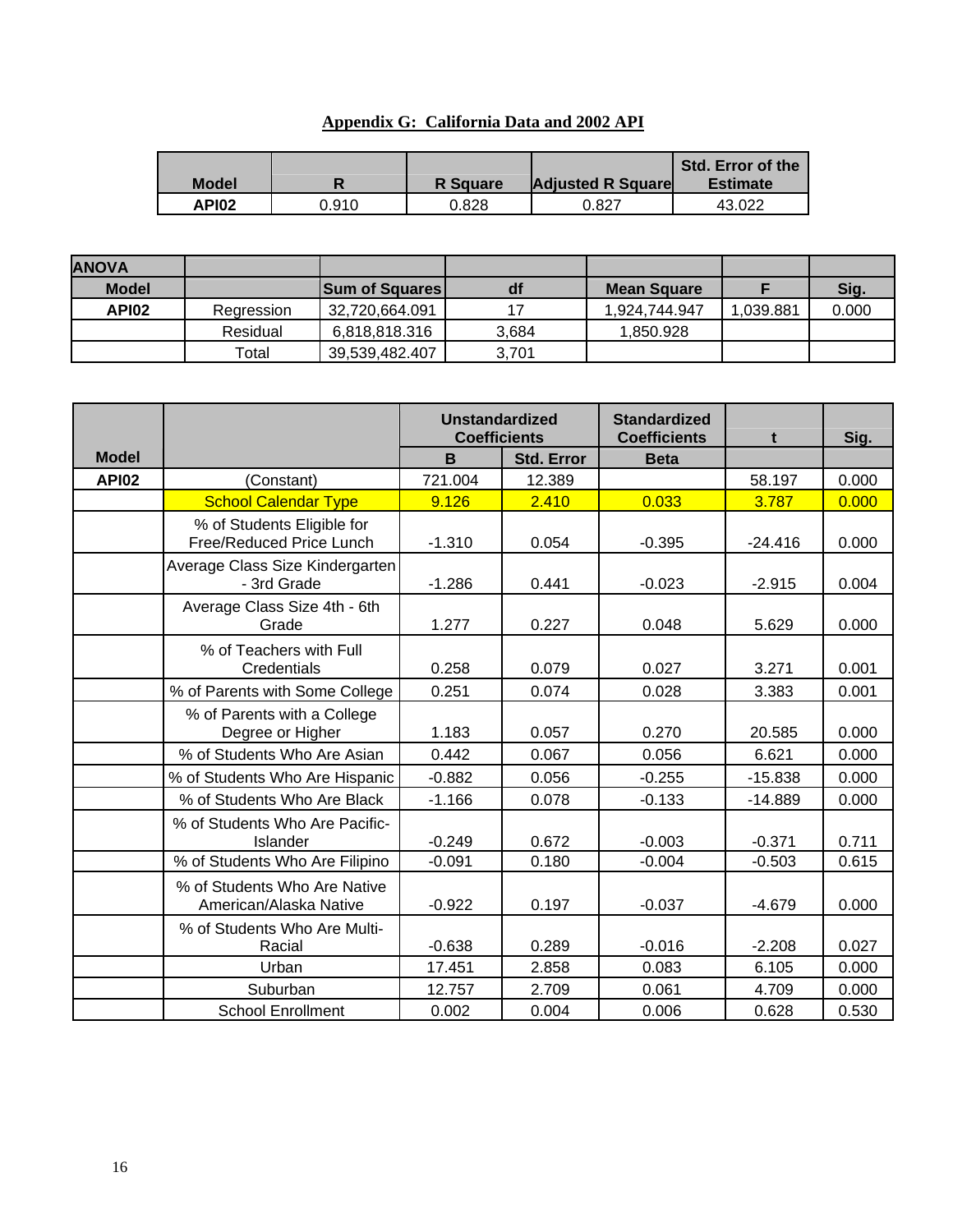| Appendix G: California Data and 2002 API |  |
|------------------------------------------|--|
|                                          |  |

| <b>Model</b> |       | <b>R</b> Square | <b>Adjusted R Square</b> | <b>Std. Error of the</b><br><b>Estimate</b> |
|--------------|-------|-----------------|--------------------------|---------------------------------------------|
| <b>API02</b> | ን.910 | 0.828           | 0.827                    | 43.022                                      |

| <b>ANOVA</b> |            |                       |       |                    |           |       |
|--------------|------------|-----------------------|-------|--------------------|-----------|-------|
| <b>Model</b> |            | <b>Sum of Squares</b> | df    | <b>Mean Square</b> |           | Sig.  |
| API02        | Regression | 32.720.664.091        | 17    | 1.924.744.947      | 1.039.881 | 0.000 |
|              | Residual   | 6,818,818.316         | 3.684 | 1.850.928          |           |       |
|              | Total      | 39,539,482.407        | 3.701 |                    |           |       |

|              |                                                        | <b>Unstandardized</b><br><b>Coefficients</b> |                   | <b>Standardized</b><br><b>Coefficients</b> | t         | Sig.  |
|--------------|--------------------------------------------------------|----------------------------------------------|-------------------|--------------------------------------------|-----------|-------|
| <b>Model</b> |                                                        | B                                            | <b>Std. Error</b> | <b>Beta</b>                                |           |       |
| <b>API02</b> | (Constant)                                             | 721.004                                      | 12.389            |                                            | 58.197    | 0.000 |
|              | <b>School Calendar Type</b>                            | 9.126                                        | 2.410             | 0.033                                      | 3.787     | 0.000 |
|              | % of Students Eligible for<br>Free/Reduced Price Lunch | $-1.310$                                     | 0.054             | $-0.395$                                   | $-24.416$ | 0.000 |
|              | Average Class Size Kindergarten<br>- 3rd Grade         | $-1.286$                                     | 0.441             | $-0.023$                                   | $-2.915$  | 0.004 |
|              | Average Class Size 4th - 6th<br>Grade                  | 1.277                                        | 0.227             | 0.048                                      | 5.629     | 0.000 |
|              | % of Teachers with Full<br>Credentials                 | 0.258                                        | 0.079             | 0.027                                      | 3.271     | 0.001 |
|              | % of Parents with Some College                         | 0.251                                        | 0.074             | 0.028                                      | 3.383     | 0.001 |
|              | % of Parents with a College<br>Degree or Higher        | 1.183                                        | 0.057             | 0.270                                      | 20.585    | 0.000 |
|              | % of Students Who Are Asian                            | 0.442                                        | 0.067             | 0.056                                      | 6.621     | 0.000 |
|              | % of Students Who Are Hispanic                         | $-0.882$                                     | 0.056             | $-0.255$                                   | $-15.838$ | 0.000 |
|              | % of Students Who Are Black                            | $-1.166$                                     | 0.078             | $-0.133$                                   | $-14.889$ | 0.000 |
|              | % of Students Who Are Pacific-<br>Islander             | $-0.249$                                     | 0.672             | $-0.003$                                   | $-0.371$  | 0.711 |
|              | % of Students Who Are Filipino                         | $-0.091$                                     | 0.180             | $-0.004$                                   | $-0.503$  | 0.615 |
|              | % of Students Who Are Native<br>American/Alaska Native | $-0.922$                                     | 0.197             | $-0.037$                                   | $-4.679$  | 0.000 |
|              | % of Students Who Are Multi-<br>Racial                 | $-0.638$                                     | 0.289             | $-0.016$                                   | $-2.208$  | 0.027 |
|              | Urban                                                  | 17.451                                       | 2.858             | 0.083                                      | 6.105     | 0.000 |
|              | Suburban                                               | 12.757                                       | 2.709             | 0.061                                      | 4.709     | 0.000 |
|              | <b>School Enrollment</b>                               | 0.002                                        | 0.004             | 0.006                                      | 0.628     | 0.530 |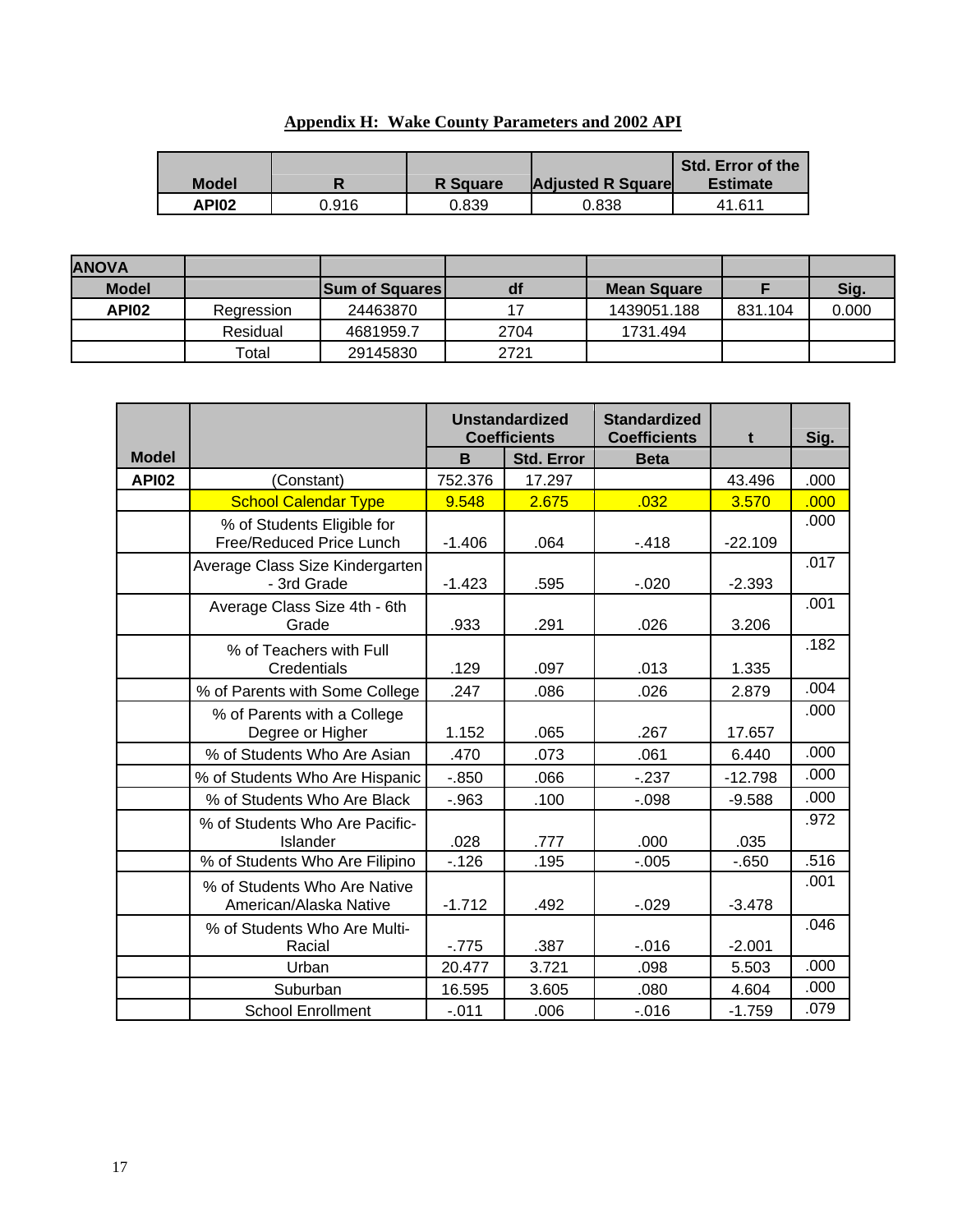| <b>Model</b> |       | <b>R</b> Square | <b>Adjusted R Square</b> | Std. Error of the<br><b>Estimate</b> |
|--------------|-------|-----------------|--------------------------|--------------------------------------|
| <b>API02</b> | 0.916 | 0.839           | 0.838                    | 41.611                               |

| <b>Appendix H: Wake County Parameters and 2002 API</b> |
|--------------------------------------------------------|
|--------------------------------------------------------|

| <b>ANOVA</b> |            |                       |      |                    |         |       |
|--------------|------------|-----------------------|------|--------------------|---------|-------|
| <b>Model</b> |            | <b>Sum of Squares</b> | df   | <b>Mean Square</b> |         | Sig.  |
| <b>API02</b> | Regression | 24463870              | 17   | 1439051.188        | 831.104 | 0.000 |
|              | Residual   | 4681959.7             | 2704 | 1731.494           |         |       |
|              | Total      | 29145830              | 2721 |                    |         |       |

|              |                                                        | <b>Unstandardized</b><br><b>Coefficients</b> |                   | <b>Standardized</b><br><b>Coefficients</b> | t         | Sig. |
|--------------|--------------------------------------------------------|----------------------------------------------|-------------------|--------------------------------------------|-----------|------|
| <b>Model</b> |                                                        | B                                            | <b>Std. Error</b> | <b>Beta</b>                                |           |      |
| <b>API02</b> | (Constant)                                             | 752.376                                      | 17.297            |                                            | 43.496    | .000 |
|              | <b>School Calendar Type</b>                            | 9.548                                        | 2.675             | .032                                       | 3.570     | .000 |
|              | % of Students Eligible for<br>Free/Reduced Price Lunch | $-1.406$                                     | .064              | $-418$                                     | $-22.109$ | .000 |
|              | Average Class Size Kindergarten<br>- 3rd Grade         | $-1.423$                                     | .595              | $-0.020$                                   | $-2.393$  | .017 |
|              | Average Class Size 4th - 6th<br>Grade                  | .933                                         | .291              | .026                                       | 3.206     | .001 |
|              | % of Teachers with Full<br>Credentials                 | .129                                         | .097              | .013                                       | 1.335     | .182 |
|              | % of Parents with Some College                         | .247                                         | .086              | .026                                       | 2.879     | .004 |
|              | % of Parents with a College<br>Degree or Higher        | 1.152                                        | .065              | .267                                       | 17.657    | .000 |
|              | % of Students Who Are Asian                            | .470                                         | .073              | .061                                       | 6.440     | .000 |
|              | % of Students Who Are Hispanic                         | $-0.850$                                     | .066              | $-237$                                     | $-12.798$ | .000 |
|              | % of Students Who Are Black                            | $-.963$                                      | .100              | $-0.98$                                    | $-9.588$  | .000 |
|              | % of Students Who Are Pacific-<br>Islander             | .028                                         | .777              | .000                                       | .035      | .972 |
|              | % of Students Who Are Filipino                         | $-126$                                       | .195              | $-0.005$                                   | $-0.650$  | .516 |
|              | % of Students Who Are Native<br>American/Alaska Native | $-1.712$                                     | .492              | $-0.029$                                   | $-3.478$  | .001 |
|              | % of Students Who Are Multi-<br>Racial                 | $-775$                                       | .387              | $-0.016$                                   | $-2.001$  | .046 |
|              | Urban                                                  | 20.477                                       | 3.721             | .098                                       | 5.503     | .000 |
|              | Suburban                                               | 16.595                                       | 3.605             | .080                                       | 4.604     | .000 |
|              | <b>School Enrollment</b>                               | $-.011$                                      | .006              | $-0.016$                                   | $-1.759$  | .079 |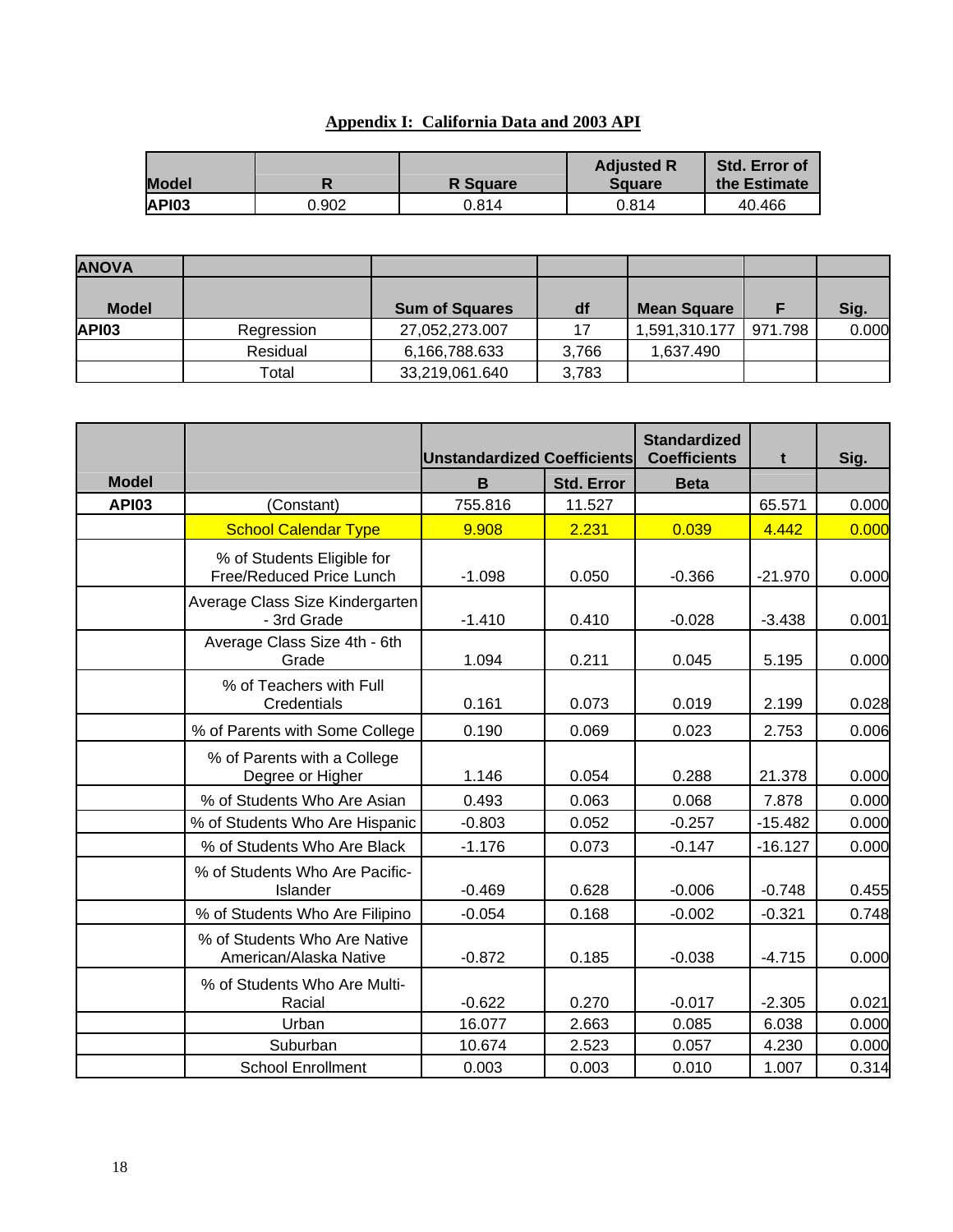# **Appendix I: California Data and 2003 API**

| <b>Model</b> |       | <b>R</b> Square | <b>Adjusted R</b><br><b>Square</b> | <b>Std. Error of</b><br>the Estimate |
|--------------|-------|-----------------|------------------------------------|--------------------------------------|
| API03        | 0.902 | 0.814           | 0.814                              | 40.466                               |

| <b>ANOVA</b> |            |                       |       |                    |         |       |
|--------------|------------|-----------------------|-------|--------------------|---------|-------|
|              |            |                       |       |                    |         |       |
| <b>Model</b> |            | <b>Sum of Squares</b> | df    | <b>Mean Square</b> |         | Sig.  |
| <b>API03</b> | Regression | 27,052,273.007        | 17    | 1,591,310.177      | 971.798 | 0.000 |
|              | Residual   | 6,166,788.633         | 3,766 | 1,637.490          |         |       |
|              | Total      | 33,219,061.640        | 3,783 |                    |         |       |

|              |                                                        | <b>Unstandardized Coefficients</b> |                   | <b>Standardized</b><br><b>Coefficients</b> | t         | Sig.  |
|--------------|--------------------------------------------------------|------------------------------------|-------------------|--------------------------------------------|-----------|-------|
| <b>Model</b> |                                                        | B                                  | <b>Std. Error</b> | <b>Beta</b>                                |           |       |
| <b>API03</b> | (Constant)                                             | 755.816                            | 11.527            |                                            | 65.571    | 0.000 |
|              | <b>School Calendar Type</b>                            | 9.908                              | 2.231             | 0.039                                      | 4.442     | 0.000 |
|              | % of Students Eligible for<br>Free/Reduced Price Lunch | $-1.098$                           | 0.050             | $-0.366$                                   | $-21.970$ | 0.000 |
|              | Average Class Size Kindergarten<br>- 3rd Grade         | $-1.410$                           | 0.410             | $-0.028$                                   | $-3.438$  | 0.001 |
|              | Average Class Size 4th - 6th<br>Grade                  | 1.094                              | 0.211             | 0.045                                      | 5.195     | 0.000 |
|              | % of Teachers with Full<br>Credentials                 | 0.161                              | 0.073             | 0.019                                      | 2.199     | 0.028 |
|              | % of Parents with Some College                         | 0.190                              | 0.069             | 0.023                                      | 2.753     | 0.006 |
|              | % of Parents with a College<br>Degree or Higher        | 1.146                              | 0.054             | 0.288                                      | 21.378    | 0.000 |
|              | % of Students Who Are Asian                            | 0.493                              | 0.063             | 0.068                                      | 7.878     | 0.000 |
|              | % of Students Who Are Hispanic                         | $-0.803$                           | 0.052             | $-0.257$                                   | $-15.482$ | 0.000 |
|              | % of Students Who Are Black                            | $-1.176$                           | 0.073             | $-0.147$                                   | $-16.127$ | 0.000 |
|              | % of Students Who Are Pacific-<br>Islander             | $-0.469$                           | 0.628             | $-0.006$                                   | $-0.748$  | 0.455 |
|              | % of Students Who Are Filipino                         | $-0.054$                           | 0.168             | $-0.002$                                   | $-0.321$  | 0.748 |
|              | % of Students Who Are Native<br>American/Alaska Native | $-0.872$                           | 0.185             | $-0.038$                                   | $-4.715$  | 0.000 |
|              | % of Students Who Are Multi-<br>Racial                 | $-0.622$                           | 0.270             | $-0.017$                                   | $-2.305$  | 0.021 |
|              | Urban                                                  | 16.077                             | 2.663             | 0.085                                      | 6.038     | 0.000 |
|              | Suburban                                               | 10.674                             | 2.523             | 0.057                                      | 4.230     | 0.000 |
|              | <b>School Enrollment</b>                               | 0.003                              | 0.003             | 0.010                                      | 1.007     | 0.314 |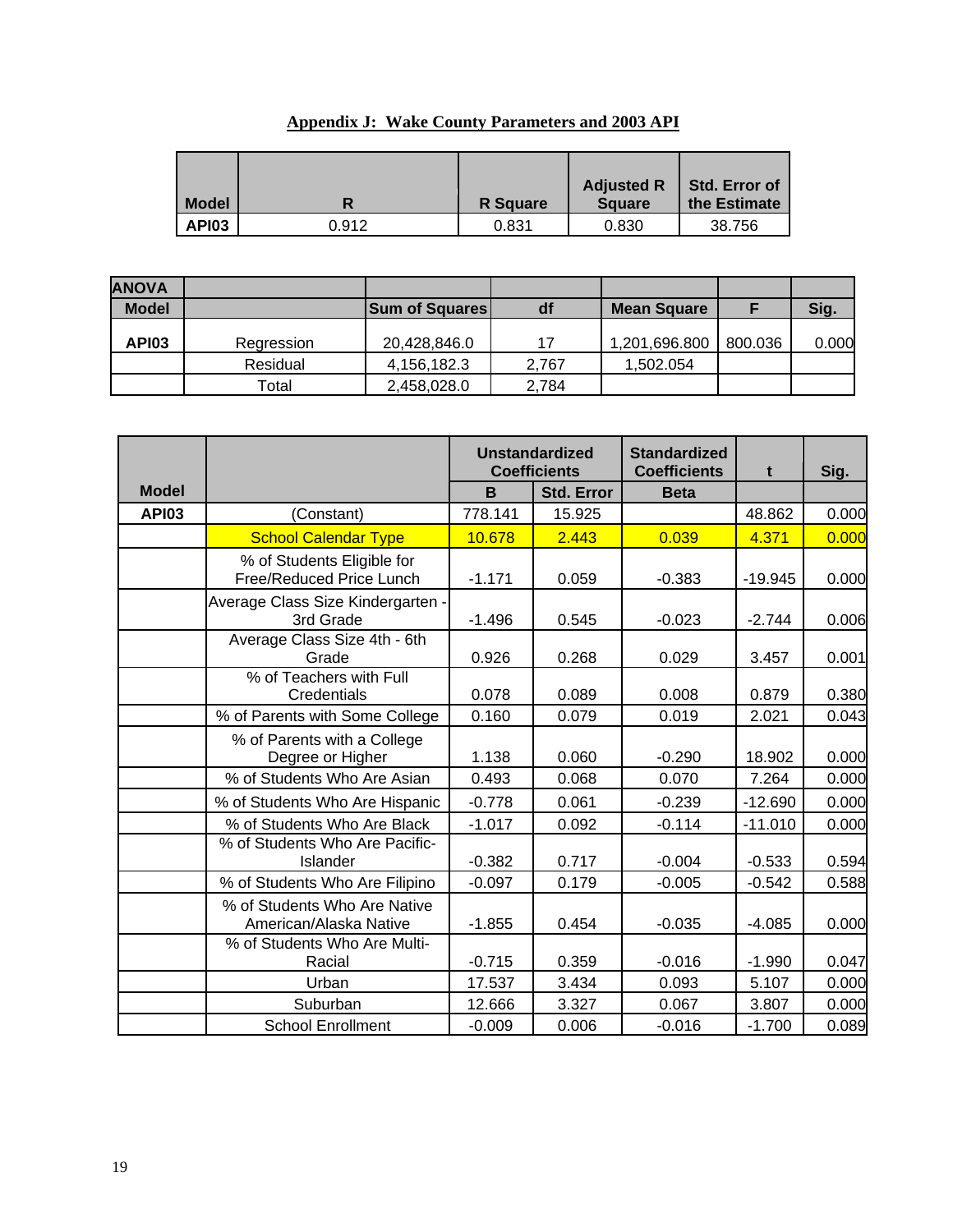| <b>Model</b> |       | <b>R</b> Square | <b>Adjusted R</b><br><b>Square</b> | <b>Std. Error of</b><br>the Estimate |
|--------------|-------|-----------------|------------------------------------|--------------------------------------|
| API03        | 0.912 | 0.831           | 0.830                              | 38.756                               |

| <b>Appendix J: Wake County Parameters and 2003 API</b> |
|--------------------------------------------------------|
|--------------------------------------------------------|

| <b>ANOVA</b> |            |                       |       |                    |         |       |
|--------------|------------|-----------------------|-------|--------------------|---------|-------|
| <b>Model</b> |            | <b>Sum of Squares</b> | df    | <b>Mean Square</b> |         | Sig.  |
| <b>API03</b> | Regression | 20,428,846.0          | 17    | 1,201,696.800      | 800.036 | 0.000 |
|              | Residual   | 4,156,182.3           | 2.767 | 1,502.054          |         |       |
|              | Total      | 2,458,028.0           | 2,784 |                    |         |       |

|              |                                                        |          | <b>Unstandardized</b><br><b>Coefficients</b> | <b>Standardized</b><br><b>Coefficients</b> | t         | Sig.  |
|--------------|--------------------------------------------------------|----------|----------------------------------------------|--------------------------------------------|-----------|-------|
| <b>Model</b> |                                                        | B        | <b>Std. Error</b>                            | <b>Beta</b>                                |           |       |
| <b>API03</b> | (Constant)                                             | 778.141  | 15.925                                       |                                            | 48.862    | 0.000 |
|              | <b>School Calendar Type</b>                            | 10.678   | 2.443                                        | 0.039                                      | 4.371     | 0.000 |
|              | % of Students Eligible for<br>Free/Reduced Price Lunch | $-1.171$ | 0.059                                        | $-0.383$                                   | $-19.945$ | 0.000 |
|              | Average Class Size Kindergarten -<br>3rd Grade         | $-1.496$ | 0.545                                        | $-0.023$                                   | $-2.744$  | 0.006 |
|              | Average Class Size 4th - 6th<br>Grade                  | 0.926    | 0.268                                        | 0.029                                      | 3.457     | 0.001 |
|              | % of Teachers with Full<br>Credentials                 | 0.078    | 0.089                                        | 0.008                                      | 0.879     | 0.380 |
|              | % of Parents with Some College                         | 0.160    | 0.079                                        | 0.019                                      | 2.021     | 0.043 |
|              | % of Parents with a College<br>Degree or Higher        | 1.138    | 0.060                                        | $-0.290$                                   | 18.902    | 0.000 |
|              | % of Students Who Are Asian                            | 0.493    | 0.068                                        | 0.070                                      | 7.264     | 0.000 |
|              | % of Students Who Are Hispanic                         | $-0.778$ | 0.061                                        | $-0.239$                                   | $-12.690$ | 0.000 |
|              | % of Students Who Are Black                            | $-1.017$ | 0.092                                        | $-0.114$                                   | $-11.010$ | 0.000 |
|              | % of Students Who Are Pacific-<br>Islander             | $-0.382$ | 0.717                                        | $-0.004$                                   | $-0.533$  | 0.594 |
|              | % of Students Who Are Filipino                         | $-0.097$ | 0.179                                        | $-0.005$                                   | $-0.542$  | 0.588 |
|              | % of Students Who Are Native<br>American/Alaska Native | $-1.855$ | 0.454                                        | $-0.035$                                   | $-4.085$  | 0.000 |
|              | % of Students Who Are Multi-<br>Racial                 | $-0.715$ | 0.359                                        | $-0.016$                                   | $-1.990$  | 0.047 |
|              | Urban                                                  | 17.537   | 3.434                                        | 0.093                                      | 5.107     | 0.000 |
|              | Suburban                                               | 12.666   | 3.327                                        | 0.067                                      | 3.807     | 0.000 |
|              | <b>School Enrollment</b>                               | $-0.009$ | 0.006                                        | $-0.016$                                   | $-1.700$  | 0.089 |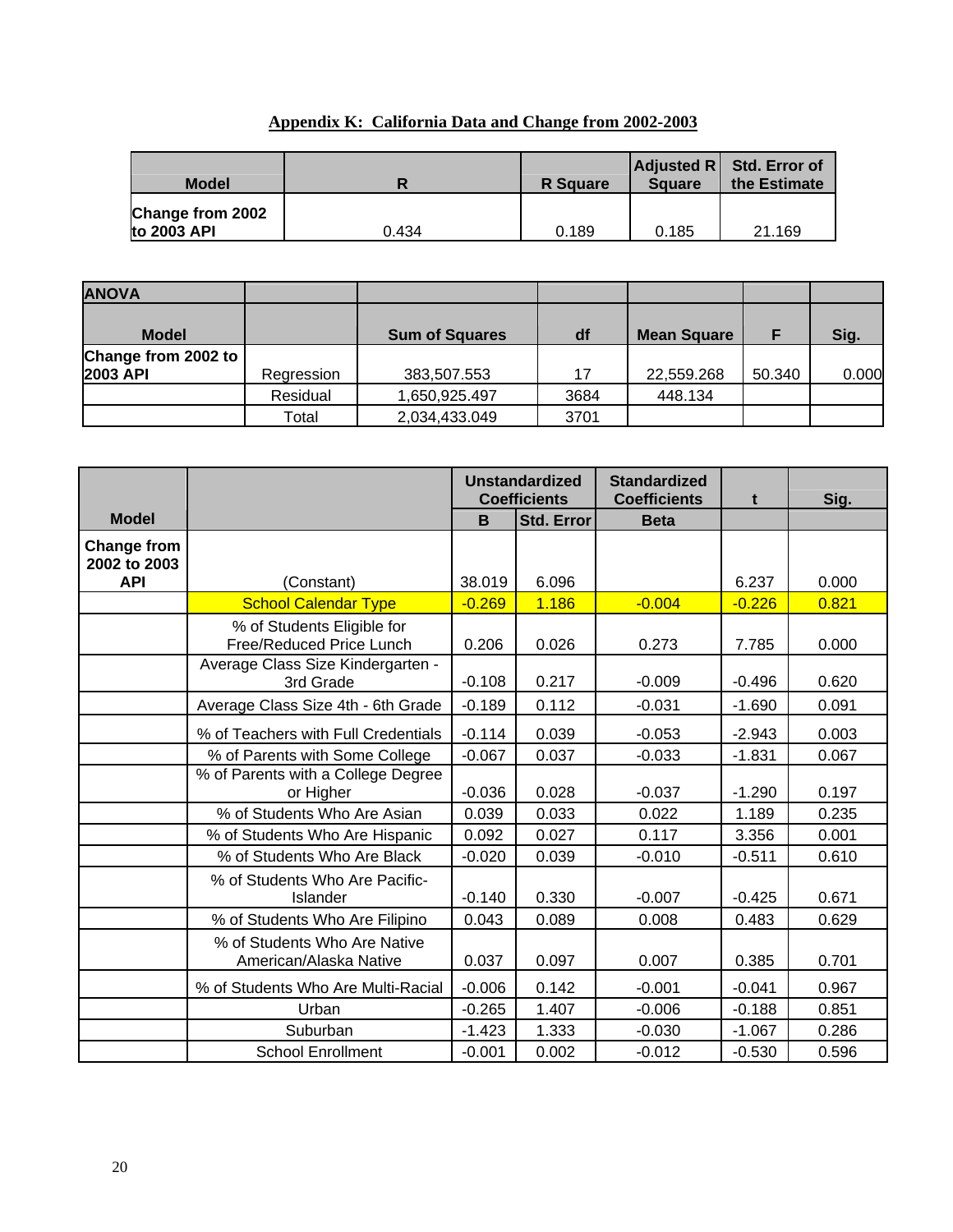# **Appendix K: California Data and Change from 2002-2003**

| <b>Model</b>                    |       | <b>R</b> Square | <b>Square</b> | $ $ Adjusted R $ $ Std. Error of<br>the Estimate |
|---------------------------------|-------|-----------------|---------------|--------------------------------------------------|
| Change from 2002<br>to 2003 API | 0.434 | 0.189           | 0.185         | 21.169                                           |

| <b>ANOVA</b>        |            |                       |      |                    |        |       |
|---------------------|------------|-----------------------|------|--------------------|--------|-------|
| <b>Model</b>        |            | <b>Sum of Squares</b> | df   | <b>Mean Square</b> |        | Sig.  |
| Change from 2002 to |            |                       |      |                    |        |       |
| <b>2003 API</b>     | Regression | 383,507.553           | 17   | 22,559.268         | 50.340 | 0.000 |
|                     | Residual   | 1,650,925.497         | 3684 | 448.134            |        |       |
|                     | Total      | 2,034,433.049         | 3701 |                    |        |       |

|                                                  |                                                        |          | <b>Unstandardized</b><br><b>Coefficients</b> | <b>Standardized</b><br><b>Coefficients</b> | t        | Sig.  |
|--------------------------------------------------|--------------------------------------------------------|----------|----------------------------------------------|--------------------------------------------|----------|-------|
| <b>Model</b>                                     |                                                        | B        | <b>Std. Error</b>                            | <b>Beta</b>                                |          |       |
| <b>Change from</b><br>2002 to 2003<br><b>API</b> |                                                        | 38.019   | 6.096                                        |                                            | 6.237    | 0.000 |
|                                                  | (Constant)                                             | $-0.269$ | 1.186                                        | $-0.004$                                   | $-0.226$ | 0.821 |
|                                                  | <b>School Calendar Type</b>                            |          |                                              |                                            |          |       |
|                                                  | % of Students Eligible for<br>Free/Reduced Price Lunch | 0.206    | 0.026                                        | 0.273                                      | 7.785    | 0.000 |
|                                                  | Average Class Size Kindergarten -<br>3rd Grade         | $-0.108$ | 0.217                                        | $-0.009$                                   | $-0.496$ | 0.620 |
|                                                  | Average Class Size 4th - 6th Grade                     | $-0.189$ | 0.112                                        | $-0.031$                                   | $-1.690$ | 0.091 |
|                                                  | % of Teachers with Full Credentials                    | $-0.114$ | 0.039                                        | $-0.053$                                   | $-2.943$ | 0.003 |
|                                                  | % of Parents with Some College                         | $-0.067$ | 0.037                                        | $-0.033$                                   | $-1.831$ | 0.067 |
|                                                  | % of Parents with a College Degree<br>or Higher        | $-0.036$ | 0.028                                        | $-0.037$                                   | $-1.290$ | 0.197 |
|                                                  | % of Students Who Are Asian                            | 0.039    | 0.033                                        | 0.022                                      | 1.189    | 0.235 |
|                                                  | % of Students Who Are Hispanic                         | 0.092    | 0.027                                        | 0.117                                      | 3.356    | 0.001 |
|                                                  | % of Students Who Are Black                            | $-0.020$ | 0.039                                        | $-0.010$                                   | $-0.511$ | 0.610 |
|                                                  | % of Students Who Are Pacific-<br>Islander             | $-0.140$ | 0.330                                        | $-0.007$                                   | $-0.425$ | 0.671 |
|                                                  | % of Students Who Are Filipino                         | 0.043    | 0.089                                        | 0.008                                      | 0.483    | 0.629 |
|                                                  | % of Students Who Are Native<br>American/Alaska Native | 0.037    | 0.097                                        | 0.007                                      | 0.385    | 0.701 |
|                                                  | % of Students Who Are Multi-Racial                     | $-0.006$ | 0.142                                        | $-0.001$                                   | $-0.041$ | 0.967 |
|                                                  | Urban                                                  | $-0.265$ | 1.407                                        | $-0.006$                                   | $-0.188$ | 0.851 |
|                                                  | Suburban                                               | $-1.423$ | 1.333                                        | $-0.030$                                   | $-1.067$ | 0.286 |
|                                                  | <b>School Enrollment</b>                               | $-0.001$ | 0.002                                        | $-0.012$                                   | $-0.530$ | 0.596 |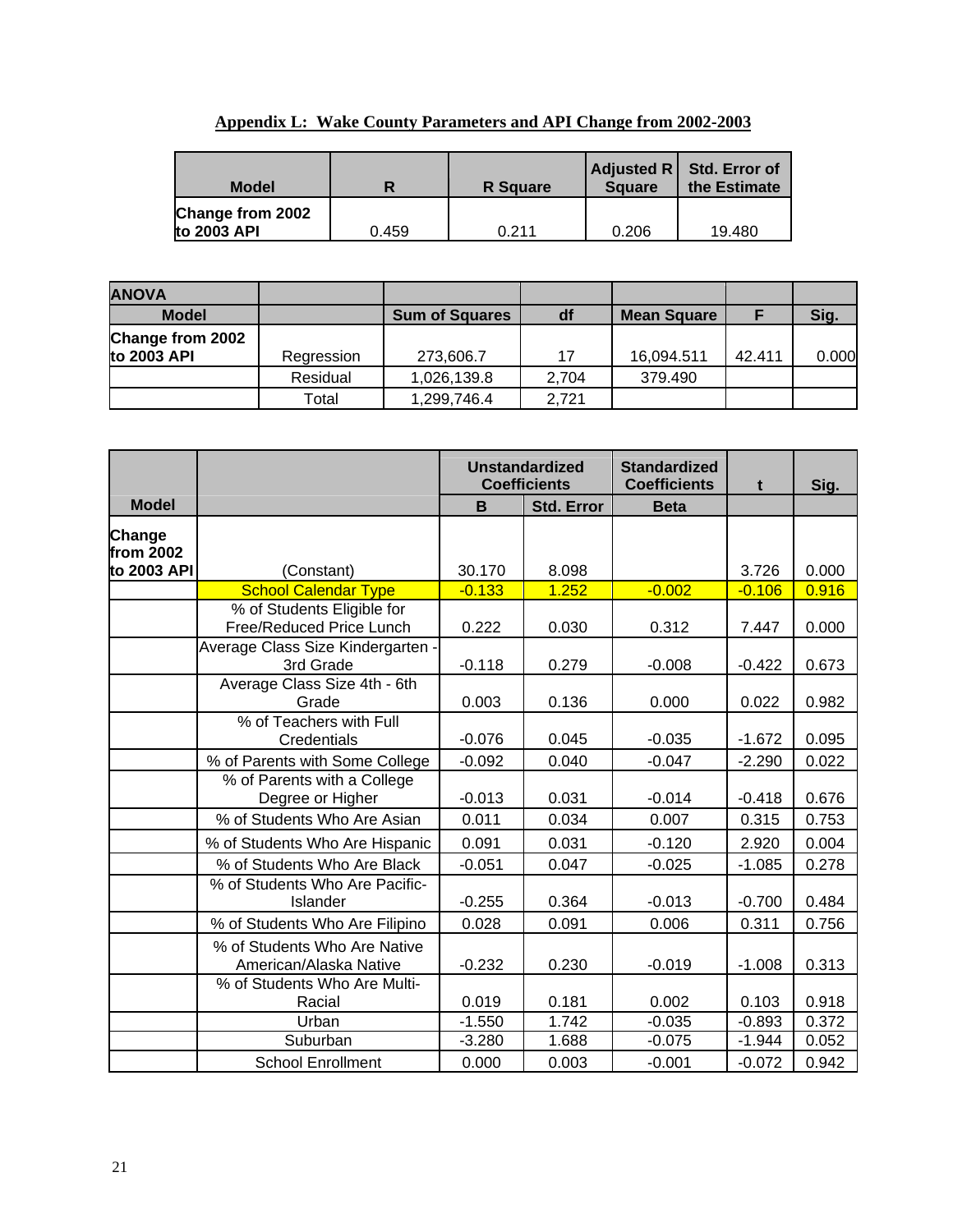| <b>Model</b>                    |       | <b>R</b> Square | <b>Square</b> | Adjusted R   Std. Error of<br>the Estimate |
|---------------------------------|-------|-----------------|---------------|--------------------------------------------|
| Change from 2002<br>to 2003 API | 0.459 | 0.211           | 0.206         | 19.480                                     |

|--|

| <b>ANOVA</b>     |            |                       |       |                    |        |       |
|------------------|------------|-----------------------|-------|--------------------|--------|-------|
| <b>Model</b>     |            | <b>Sum of Squares</b> | df    | <b>Mean Square</b> |        | Sig.  |
| Change from 2002 |            |                       |       |                    |        |       |
| to 2003 API      | Regression | 273,606.7             | 17    | 16,094.511         | 42.411 | 0.000 |
|                  | Residual   | 1,026,139.8           | 2.704 | 379.490            |        |       |
|                  | Total      | 1,299,746.4           | 2.721 |                    |        |       |

|                     |                                                        |          | <b>Unstandardized</b><br><b>Coefficients</b> |             | t        | Sig.  |
|---------------------|--------------------------------------------------------|----------|----------------------------------------------|-------------|----------|-------|
| <b>Model</b>        |                                                        | B        | <b>Std. Error</b>                            | <b>Beta</b> |          |       |
| Change<br>from 2002 |                                                        |          |                                              |             |          |       |
| to 2003 API         | (Constant)                                             | 30.170   | 8.098                                        |             | 3.726    | 0.000 |
|                     | <b>School Calendar Type</b>                            | $-0.133$ | 1.252                                        | $-0.002$    | $-0.106$ | 0.916 |
|                     | % of Students Eligible for<br>Free/Reduced Price Lunch | 0.222    | 0.030                                        | 0.312       | 7.447    | 0.000 |
|                     | Average Class Size Kindergarten -<br>3rd Grade         | $-0.118$ | 0.279                                        | $-0.008$    | $-0.422$ | 0.673 |
|                     | Average Class Size 4th - 6th<br>Grade                  | 0.003    | 0.136                                        | 0.000       | 0.022    | 0.982 |
|                     | % of Teachers with Full<br>Credentials                 | $-0.076$ | 0.045                                        | $-0.035$    | $-1.672$ | 0.095 |
|                     | % of Parents with Some College                         | $-0.092$ | 0.040                                        | $-0.047$    | $-2.290$ | 0.022 |
|                     | % of Parents with a College<br>Degree or Higher        | $-0.013$ | 0.031                                        | $-0.014$    | $-0.418$ | 0.676 |
|                     | % of Students Who Are Asian                            | 0.011    | 0.034                                        | 0.007       | 0.315    | 0.753 |
|                     | % of Students Who Are Hispanic                         | 0.091    | 0.031                                        | $-0.120$    | 2.920    | 0.004 |
|                     | % of Students Who Are Black                            | $-0.051$ | 0.047                                        | $-0.025$    | $-1.085$ | 0.278 |
|                     | % of Students Who Are Pacific-<br>Islander             | $-0.255$ | 0.364                                        | $-0.013$    | $-0.700$ | 0.484 |
|                     | % of Students Who Are Filipino                         | 0.028    | 0.091                                        | 0.006       | 0.311    | 0.756 |
|                     | % of Students Who Are Native<br>American/Alaska Native | $-0.232$ | 0.230                                        | $-0.019$    | $-1.008$ | 0.313 |
|                     | % of Students Who Are Multi-<br>Racial                 | 0.019    | 0.181                                        | 0.002       | 0.103    | 0.918 |
|                     | Urban                                                  | $-1.550$ | 1.742                                        | $-0.035$    | $-0.893$ | 0.372 |
|                     | Suburban                                               | $-3.280$ | 1.688                                        | $-0.075$    | $-1.944$ | 0.052 |
|                     | <b>School Enrollment</b>                               | 0.000    | 0.003                                        | $-0.001$    | $-0.072$ | 0.942 |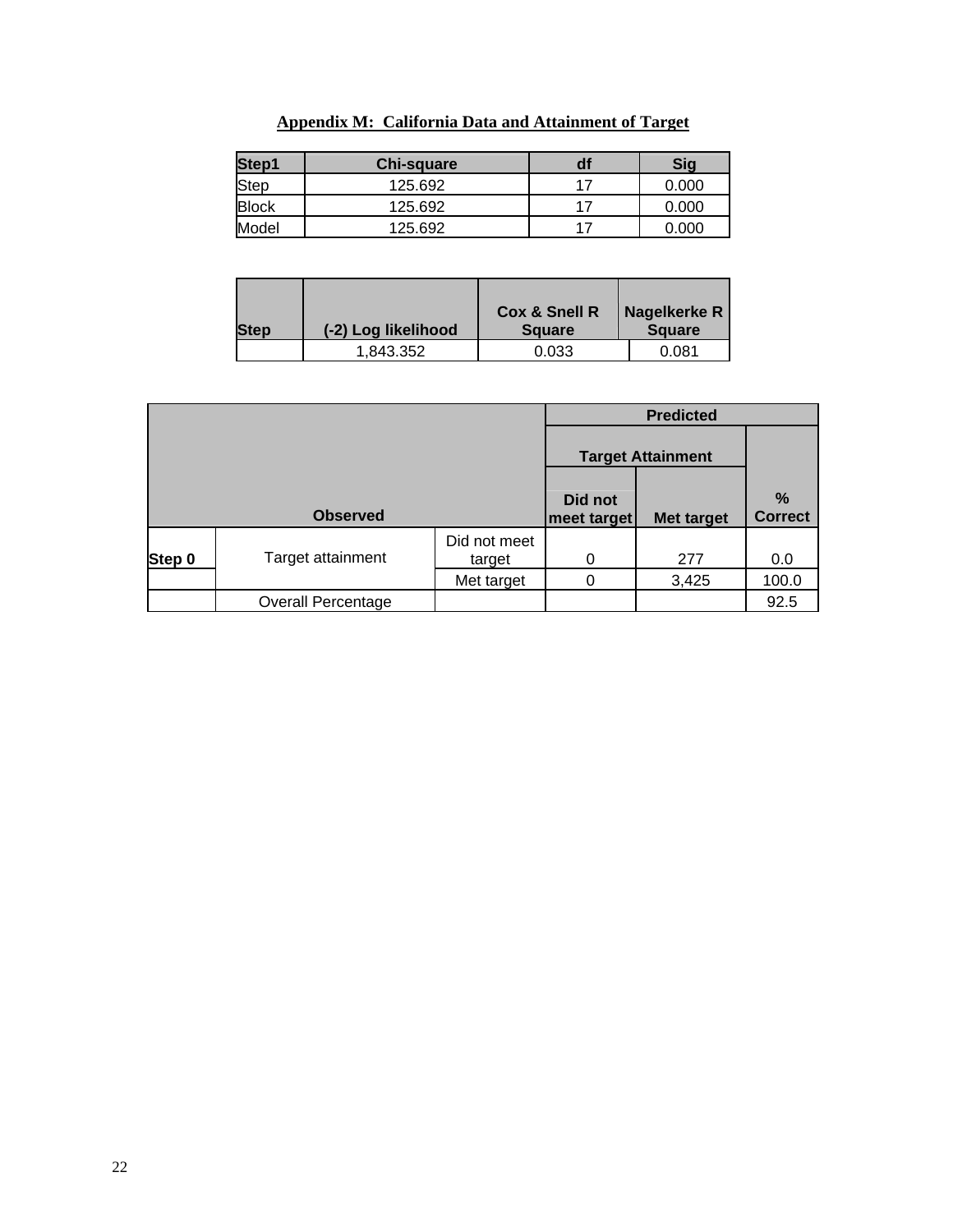| Step1        | <b>Chi-square</b> | df | <b>Sig</b> |
|--------------|-------------------|----|------------|
| Step         | 125.692           | 17 | 0.000      |
| <b>Block</b> | 125.692           | 17 | 0.000      |
| Model        | 125.692           | 17 | 0.000      |

# **Appendix M: California Data and Attainment of Target**

| <b>Step</b> | (-2) Log likelihood | <b>Cox &amp; Snell R</b><br><b>Square</b> | Nagelkerke R<br><b>Square</b> |
|-------------|---------------------|-------------------------------------------|-------------------------------|
|             | 1,843.352           | 0.033                                     | 0.081                         |

|        |                           | <b>Target Attainment</b> |                        |                   |                        |
|--------|---------------------------|--------------------------|------------------------|-------------------|------------------------|
|        | <b>Observed</b>           |                          | Did not<br>meet target | <b>Met target</b> | $\%$<br><b>Correct</b> |
| Step 0 | Target attainment         | Did not meet<br>target   | 0                      | 277               | 0.0                    |
|        |                           | Met target               |                        | 3,425             | 100.0                  |
|        | <b>Overall Percentage</b> |                          |                        |                   | 92.5                   |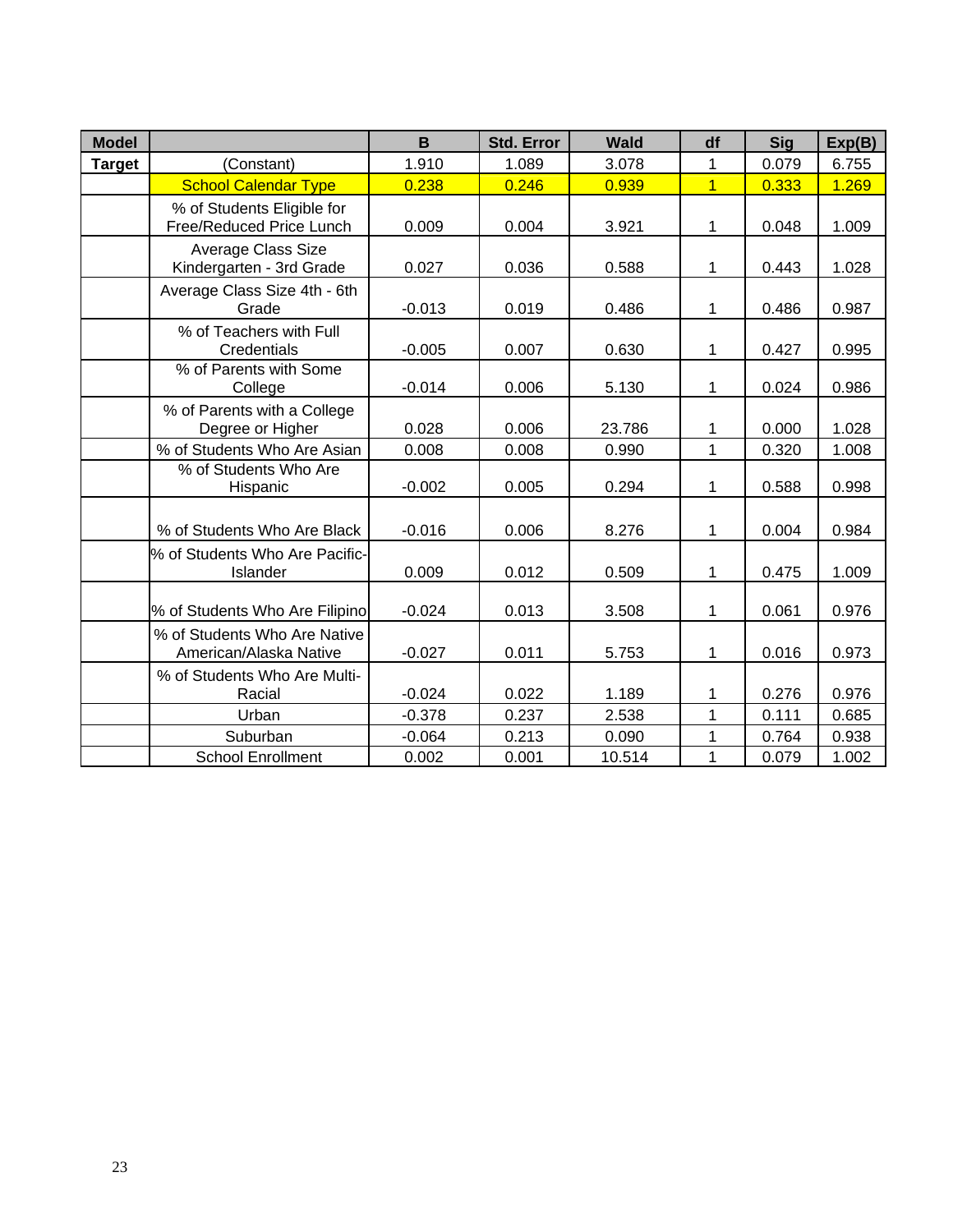| <b>Model</b>  |                                                        | B        | <b>Std. Error</b> | <b>Wald</b> | df             | <b>Sig</b> | Exp(B) |
|---------------|--------------------------------------------------------|----------|-------------------|-------------|----------------|------------|--------|
| <b>Target</b> | (Constant)                                             | 1.910    | 1.089             | 3.078       | 1              | 0.079      | 6.755  |
|               | <b>School Calendar Type</b>                            | 0.238    | 0.246             | 0.939       | $\overline{1}$ | 0.333      | 1.269  |
|               | % of Students Eligible for<br>Free/Reduced Price Lunch | 0.009    | 0.004             | 3.921       | 1              | 0.048      | 1.009  |
|               | Average Class Size<br>Kindergarten - 3rd Grade         | 0.027    | 0.036             | 0.588       | 1              | 0.443      | 1.028  |
|               | Average Class Size 4th - 6th<br>Grade                  | $-0.013$ | 0.019             | 0.486       | 1              | 0.486      | 0.987  |
|               | % of Teachers with Full<br>Credentials                 | $-0.005$ | 0.007             | 0.630       | 1              | 0.427      | 0.995  |
|               | % of Parents with Some<br>College                      | $-0.014$ | 0.006             | 5.130       | 1              | 0.024      | 0.986  |
|               | % of Parents with a College<br>Degree or Higher        | 0.028    | 0.006             | 23.786      | 1              | 0.000      | 1.028  |
|               | % of Students Who Are Asian                            | 0.008    | 0.008             | 0.990       | $\mathbf{1}$   | 0.320      | 1.008  |
|               | % of Students Who Are<br>Hispanic                      | $-0.002$ | 0.005             | 0.294       | 1              | 0.588      | 0.998  |
|               | % of Students Who Are Black                            | $-0.016$ | 0.006             | 8.276       | 1              | 0.004      | 0.984  |
|               | % of Students Who Are Pacific-<br>Islander             | 0.009    | 0.012             | 0.509       | 1              | 0.475      | 1.009  |
|               | % of Students Who Are Filipino                         | $-0.024$ | 0.013             | 3.508       | 1              | 0.061      | 0.976  |
|               | % of Students Who Are Native<br>American/Alaska Native | $-0.027$ | 0.011             | 5.753       | 1              | 0.016      | 0.973  |
|               | % of Students Who Are Multi-<br>Racial                 | $-0.024$ | 0.022             | 1.189       | 1              | 0.276      | 0.976  |
|               | Urban                                                  | $-0.378$ | 0.237             | 2.538       | 1              | 0.111      | 0.685  |
|               | Suburban                                               | $-0.064$ | 0.213             | 0.090       | $\mathbf 1$    | 0.764      | 0.938  |
|               | <b>School Enrollment</b>                               | 0.002    | 0.001             | 10.514      | 1              | 0.079      | 1.002  |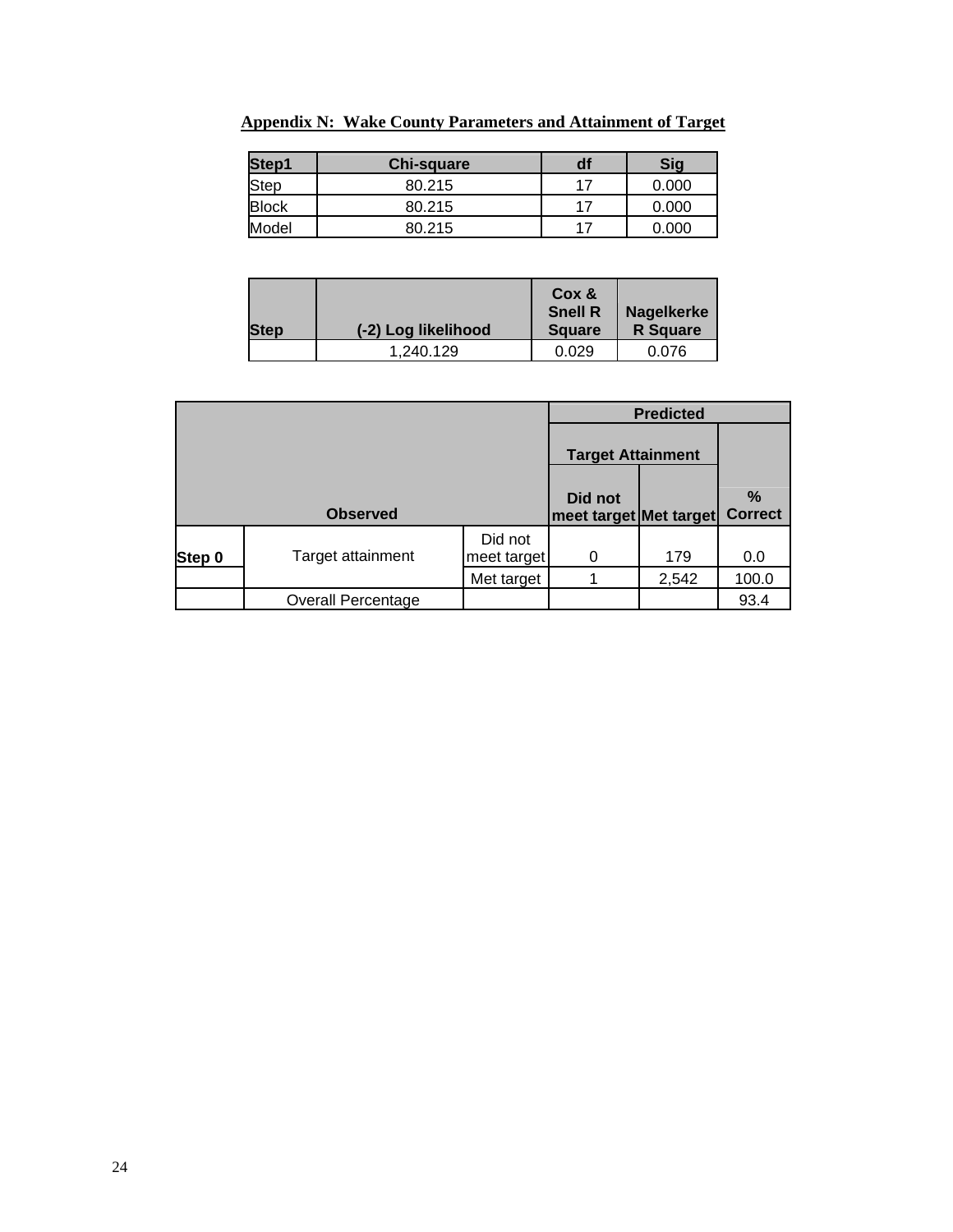| Step1<br><b>Chi-square</b> |        | df | Sig   |  |
|----------------------------|--------|----|-------|--|
| Step                       | 80.215 | 17 | 0.000 |  |
| <b>Block</b>               | 80.215 | 17 | 0.000 |  |
| Model                      | 80.215 |    | 0.000 |  |

**Appendix N: Wake County Parameters and Attainment of Target**

| <b>Step</b> | (-2) Log likelihood | Cox &<br><b>Snell R</b><br><b>Square</b> | Nagelkerke<br><b>R</b> Square |
|-------------|---------------------|------------------------------------------|-------------------------------|
|             | 1.240.129           | 0.029                                    | 0.076                         |

|        |                           |                        | <b>Predicted</b>                  |       |                        |  |
|--------|---------------------------|------------------------|-----------------------------------|-------|------------------------|--|
|        |                           |                        | <b>Target Attainment</b>          |       |                        |  |
|        | <b>Observed</b>           |                        | Did not<br>meet target Met target |       | $\%$<br><b>Correct</b> |  |
| Step 0 | Target attainment         | Did not<br>meet target | 0                                 | 179   | 0.0                    |  |
|        |                           | Met target             |                                   | 2,542 | 100.0                  |  |
|        | <b>Overall Percentage</b> |                        |                                   |       | 93.4                   |  |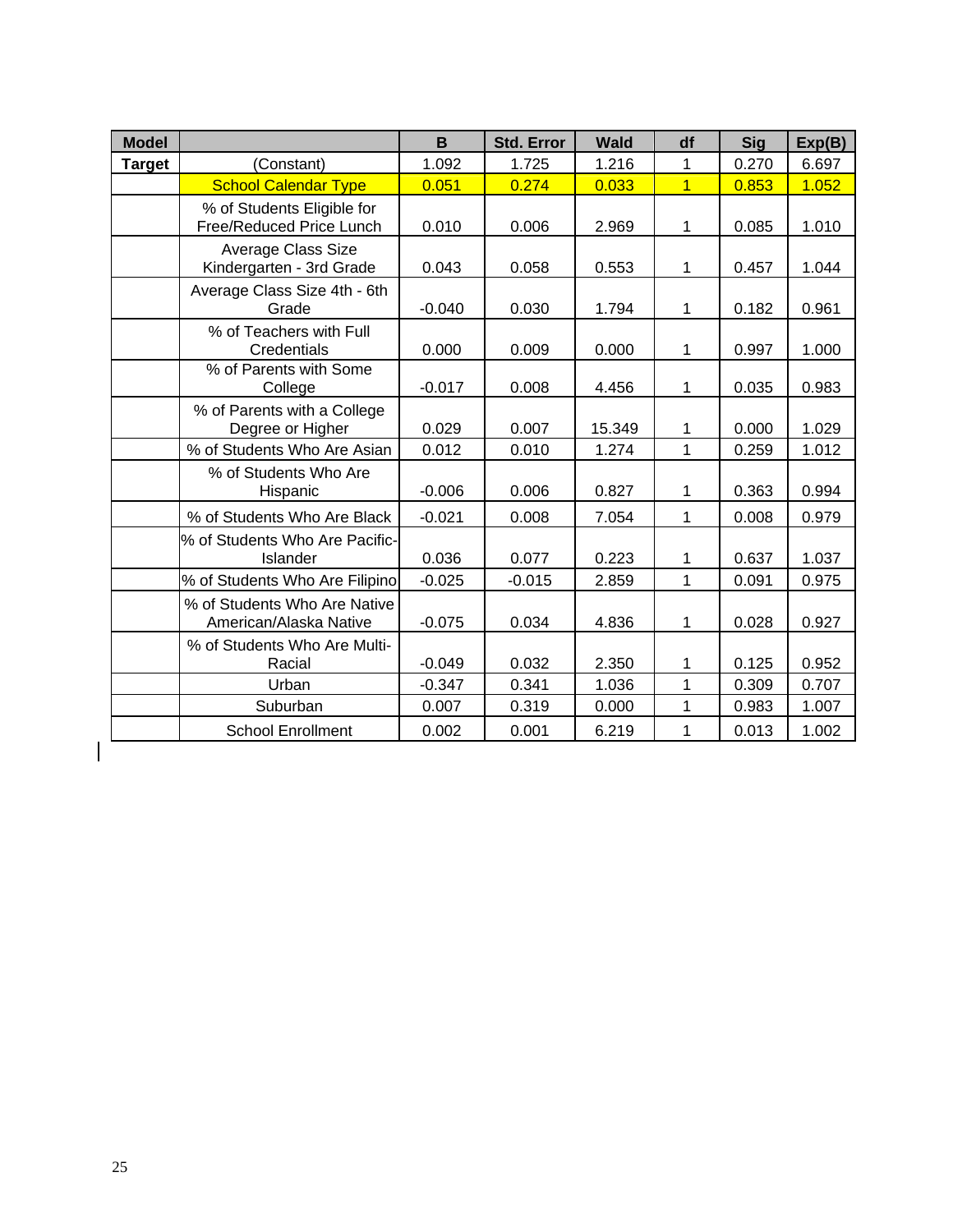| <b>Model</b>  |                                                        | B        | <b>Std. Error</b> | <b>Wald</b> | df             | <b>Sig</b> | Exp(B) |
|---------------|--------------------------------------------------------|----------|-------------------|-------------|----------------|------------|--------|
| <b>Target</b> | (Constant)                                             | 1.092    | 1.725             | 1.216       | 1              | 0.270      | 6.697  |
|               | <b>School Calendar Type</b>                            | 0.051    | 0.274             | 0.033       | $\overline{1}$ | 0.853      | 1.052  |
|               | % of Students Eligible for<br>Free/Reduced Price Lunch | 0.010    | 0.006             | 2.969       | 1              | 0.085      | 1.010  |
|               | <b>Average Class Size</b><br>Kindergarten - 3rd Grade  | 0.043    | 0.058             | 0.553       | 1              | 0.457      | 1.044  |
|               | Average Class Size 4th - 6th<br>Grade                  | $-0.040$ | 0.030             | 1.794       | 1              | 0.182      | 0.961  |
|               | % of Teachers with Full<br>Credentials                 | 0.000    | 0.009             | 0.000       | 1              | 0.997      | 1.000  |
|               | % of Parents with Some<br>College                      | $-0.017$ | 0.008             | 4.456       | 1              | 0.035      | 0.983  |
|               | % of Parents with a College<br>Degree or Higher        | 0.029    | 0.007             | 15.349      | 1              | 0.000      | 1.029  |
|               | % of Students Who Are Asian                            | 0.012    | 0.010             | 1.274       | 1              | 0.259      | 1.012  |
|               | % of Students Who Are<br>Hispanic                      | $-0.006$ | 0.006             | 0.827       | 1              | 0.363      | 0.994  |
|               | % of Students Who Are Black                            | $-0.021$ | 0.008             | 7.054       | 1              | 0.008      | 0.979  |
|               | % of Students Who Are Pacific-<br>Islander             | 0.036    | 0.077             | 0.223       | 1              | 0.637      | 1.037  |
|               | % of Students Who Are Filipino                         | $-0.025$ | $-0.015$          | 2.859       | 1              | 0.091      | 0.975  |
|               | % of Students Who Are Native<br>American/Alaska Native | $-0.075$ | 0.034             | 4.836       | 1              | 0.028      | 0.927  |
|               | % of Students Who Are Multi-<br>Racial                 | $-0.049$ | 0.032             | 2.350       | 1              | 0.125      | 0.952  |
|               | Urban                                                  | $-0.347$ | 0.341             | 1.036       | 1              | 0.309      | 0.707  |
|               | Suburban                                               | 0.007    | 0.319             | 0.000       | 1              | 0.983      | 1.007  |
|               | <b>School Enrollment</b>                               | 0.002    | 0.001             | 6.219       | 1              | 0.013      | 1.002  |

 $\begin{array}{c} \hline \end{array}$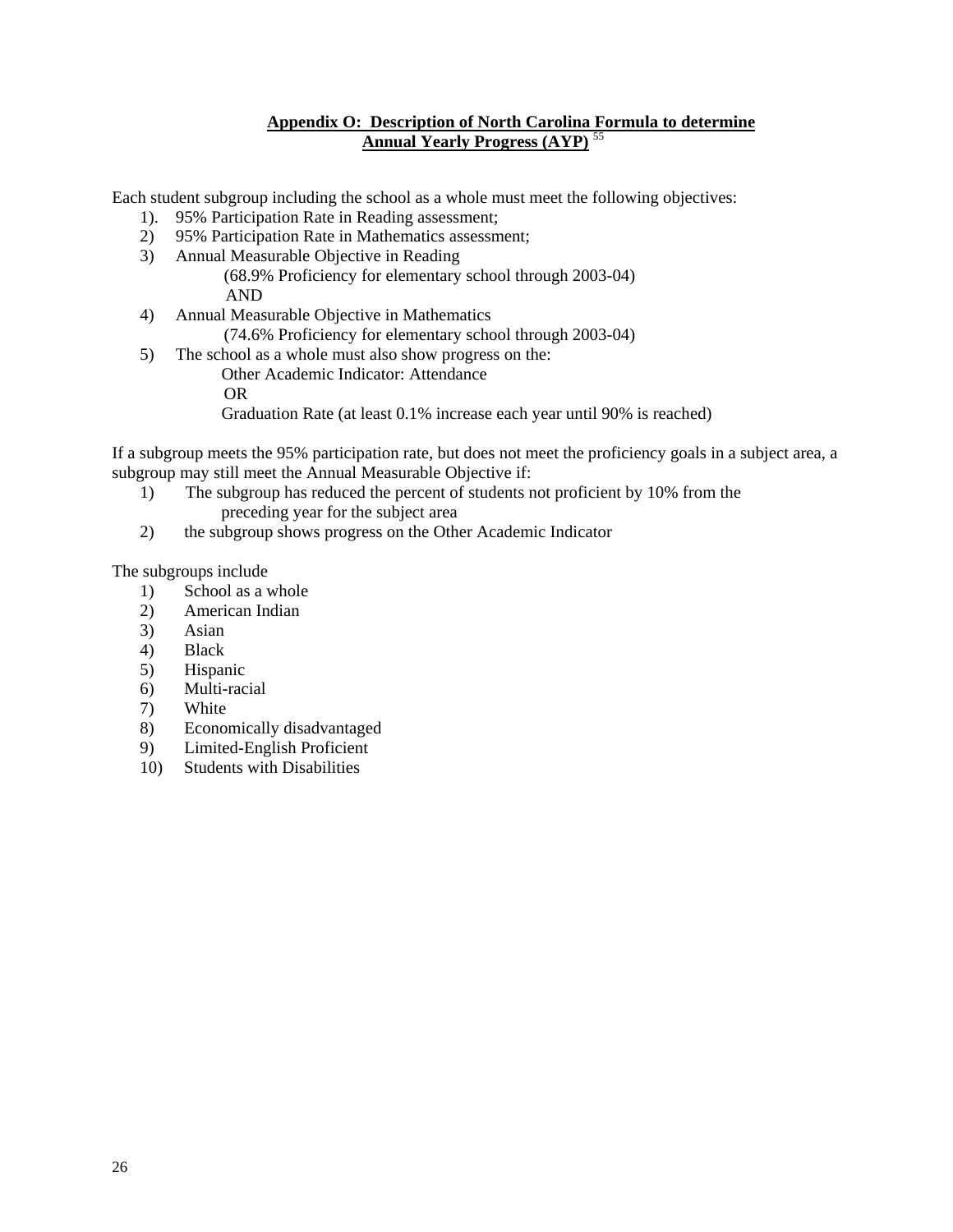### **Appendix O: Description of North Carolina Formula to determine Annual Yearly Progress (AYP)** [55](#page-0-0)

Each student subgroup including the school as a whole must meet the following objectives:

- 1). 95% Participation Rate in Reading assessment;
- 2) 95% Participation Rate in Mathematics assessment;
- 3) Annual Measurable Objective in Reading (68.9% Proficiency for elementary school through 2003-04)
	- AND
- 4) Annual Measurable Objective in Mathematics
	- (74.6% Proficiency for elementary school through 2003-04)
- 5) The school as a whole must also show progress on the: Other Academic Indicator: Attendance
	- OR
	- Graduation Rate (at least 0.1% increase each year until 90% is reached)

If a subgroup meets the 95% participation rate, but does not meet the proficiency goals in a subject area, a subgroup may still meet the Annual Measurable Objective if:

- 1) The subgroup has reduced the percent of students not proficient by 10% from the preceding year for the subject area
- 2) the subgroup shows progress on the Other Academic Indicator

The subgroups include

- 1) School as a whole
- 2) American Indian
- 3) Asian
- 4) Black
- 5) Hispanic
- 6) Multi-racial
- 7) White
- 8) Economically disadvantaged
- 9) Limited-English Proficient
- 10) Students with Disabilities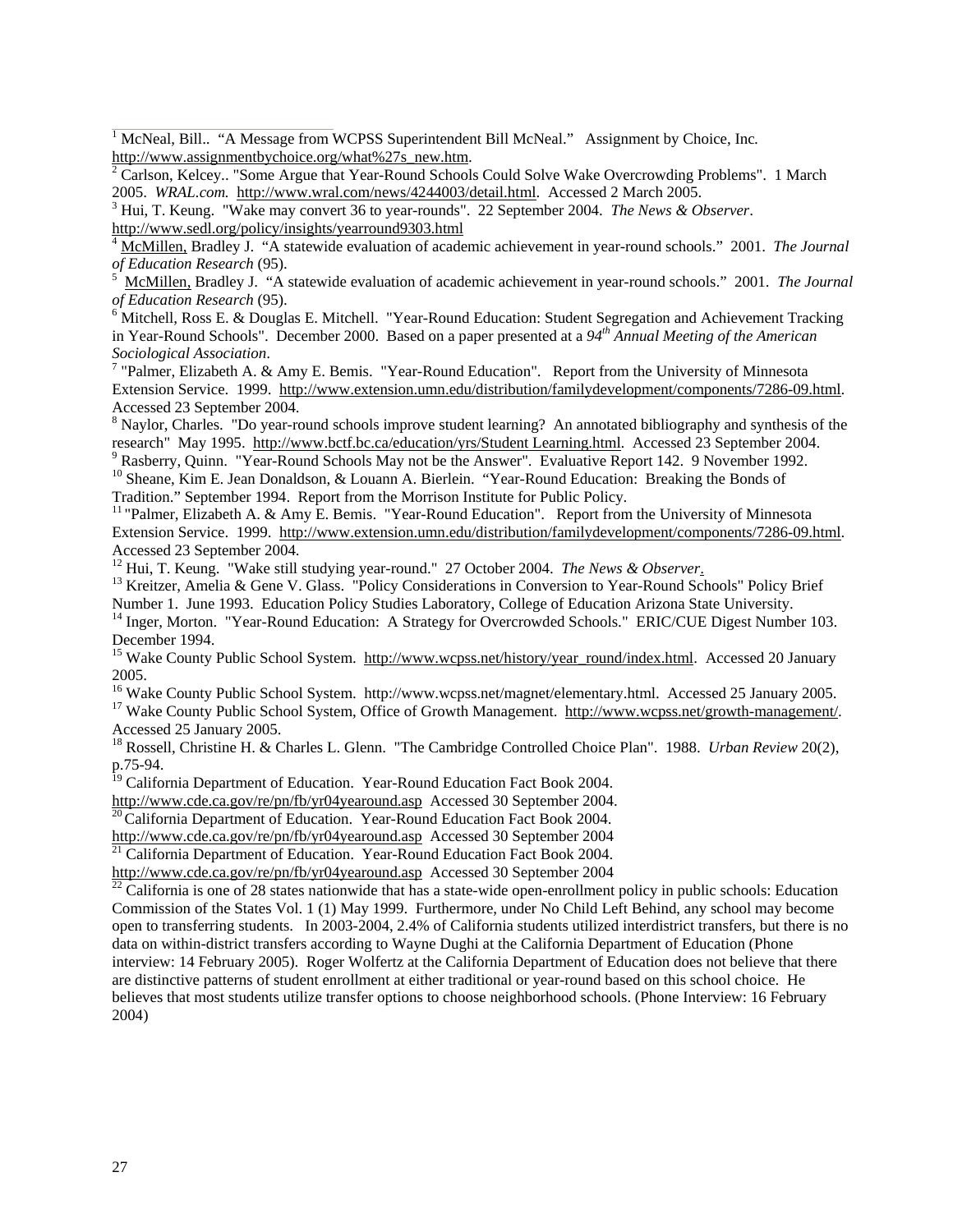<span id="page-27-0"></span><sup>[1](#page-1-0)</sup> McNeal, Bill.. "A Message from WCPSS Superintendent Bill McNeal." Assignment by Choice, Inc.

[http://www.assignmentbychoice.org/what%27s\\_new.htm](http://www.assignmentbychoice.org/what%27s_new.htm).<br><sup>[2](#page-1-0)</sup> Carlson, Kelcey.. "Some Argue that Year-Round Schools Could Solve Wake Overcrowding Problems". 1 March 2005. *WRAL.com.* [http://www.wral.com/news/4244003/detail.html.](http://www.wral.com/news/4244003/detail.html) Accessed 2 March 2005. [3](#page-1-0)

<sup>3</sup> Hui, T. Keung. "Wake may convert 36 to year-rounds". 22 September 2004. *The News & Observer*. http://www.sedl.org/policy/insights/yearround9303.html

http://www.sedl.org/policy/insights/yearround9303.html [4](#page-1-0) [McMillen,](http://www.vbcps.k12.va.us/yrscomm.pdf) Bradley J. "A statewide evaluation of academic achievement in year-round schools." 2001. *The Journal*   $of Education Research (95).$ 

 [McMillen,](http://www.vbcps.k12.va.us/yrscomm.pdf) Bradley J. "A statewide evaluation of academic achievement in year-round schools." 2001. *The Journal of Education Research* (95). [6](#page-1-0)

 $6$  Mitchell, Ross E. & Douglas E. Mitchell. "Year-Round Education: Student Segregation and Achievement Tracking in Year-Round Schools". December 2000. Based on a paper presented at a *94th Annual Meeting of the American* 

Sociological Association.<br><sup>[7](#page-1-0)</sup> "Palmer, Elizabeth A. & Amy E. Bemis. "Year-Round Education". Report from the University of Minnesota Extension Service. 1999. http://www.extension.umn.edu/distribution/familydevelopment/components/7286-09.html. Accessed 23 September 2004.

<sup>[8](#page-1-0)</sup> Naylor, Charles. "Do year-round schools improve student learning? An annotated bibliography and synthesis of the research" May 1995. http://[www.bctf.bc.ca/education/yrs/Student Learning.html](http://www.bctf.bc.ca/education/yrs/Student Learning.html). Accessed 23 September 2004.

<sup>9</sup> Rasberry, Quinn. "Year-Round Schools May not be the Answer". Evaluative Report 142. 9 November 1992. <sup>[10](#page-1-0)</sup> Sheane, Kim E. Jean Donaldson, & Louann A. Bierlein. "Year-Round Education: Breaking the Bonds of Tradition." September 1994. Report from the Morrison Institute for Public Policy.

<sup>[11](#page-1-0)</sup> "Palmer, Elizabeth A. & Amy E. Bemis. "Year-Round Education". Report from the University of Minnesota Extension Service. 1999. http://www.extension.umn.edu/distribution/familydevelopment/components/7286-09.html. Accessed 23 September 2004.<br><sup>12</sup> Hui, T. Keung. "Wake still studying year-round." 27 October 2004. *The News & Observer*.

<sup>[13](#page-1-0)</sup> Kreitzer, Amelia & Gene V. Glass. "Policy Considerations in Conversion to Year-Round Schools" Policy Brief

Number 1. June 1993. Education Policy Studies Laboratory, College of Education Arizona State University. <sup>[14](#page-1-0)</sup> Inger, Morton. "Year-Round Education: A Strategy for Overcrowded Schools." ERIC/CUE Digest Number 103. December 1994.

<sup>15</sup> Wake County Public School System. [http://www.wcpss.net/history/year\\_round/index.html.](http://www.wcpss.net/history/year_round/index.html) Accessed 20 January

2005.<br><sup>16</sup> Wake County Public School System. http://www.wcpss.net/magnet/elementary.html. Accessed 25 January 2005.

<sup>17</sup> Wake County Public School System, Office of Growth Management. [http://www.wcpss.net/growth-management/.](http://www.wcpss.net/growth-management/) Accessed 25 January 2005.

[18](#page-1-0) Rossell, Christine H. & Charles L. Glenn. "The Cambridge Controlled Choice Plan". 1988. *Urban Review* 20(2), p.75-94.

<sup>[19](#page-1-0)</sup> California Department of Education. Year-Round Education Fact Book 2004.

[http://www.cde.ca.gov/re/pn/fb/yr04yearound.asp](https://webmail7.isis.unc.edu/mail/services/go.php?url=http%3A%2F%2Fwww.cde.ca.gov%2Fre%2Fpn%2Ffb%2Fyr04yearound.asp) Accessed 30 September [20](#page-1-0)04.<br><sup>20</sup>California Department of Education. Year-Round Education Fact Book 2004.

[http://www.cde.ca.gov/re/pn/fb/yr04yearound.asp](https://webmail7.isis.unc.edu/mail/services/go.php?url=http%3A%2F%2Fwww.cde.ca.gov%2Fre%2Fpn%2Ffb%2Fyr04yearound.asp) Accessed 30 September 2004<br><sup>[21](#page-1-0)</sup> California Department of Education. Year-Round Education Fact Book 2004.<br>http://www.cde.ca.gov/re/pn/fb/yr04yearound.asp Accessed 30 September

 $\frac{22}{22}$  $\frac{22}{22}$  $\frac{22}{22}$  California is one of 28 states nationwide that has a state-wide open-enrollment policy in public schools: Education Commission of the States Vol. 1 (1) May 1999. Furthermore, under No Child Left Behind, any school may become open to transferring students. In 2003-2004, 2.4% of California students utilized interdistrict transfers, but there is no data on within-district transfers according to Wayne Dughi at the California Department of Education (Phone interview: 14 February 2005). Roger Wolfertz at the California Department of Education does not believe that there are distinctive patterns of student enrollment at either traditional or year-round based on this school choice. He believes that most students utilize transfer options to choose neighborhood schools. (Phone Interview: 16 February 2004)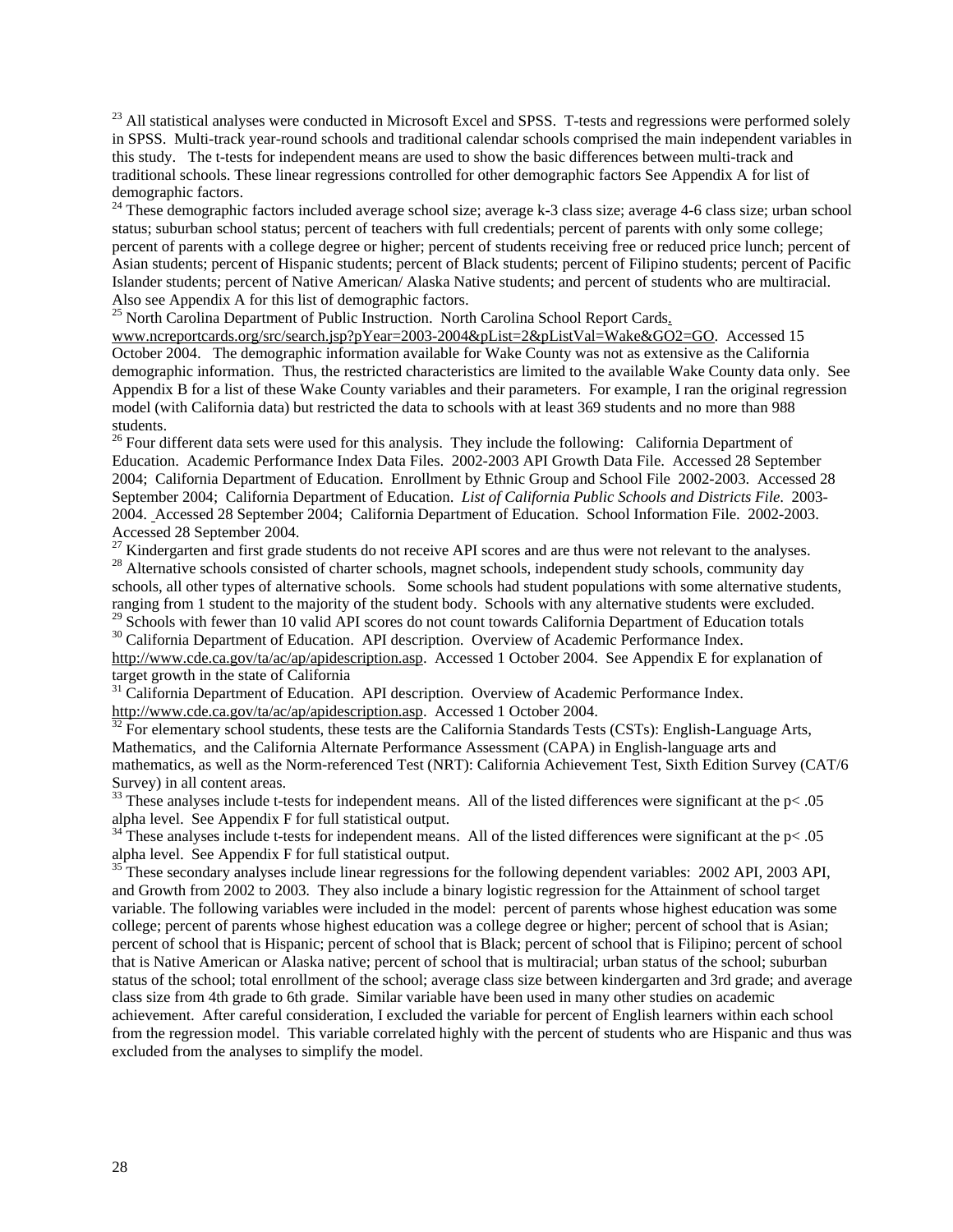$^{23}$  $^{23}$  $^{23}$  All statistical analyses were conducted in Microsoft Excel and SPSS. T-tests and regressions were performed solely in SPSS. Multi-track year-round schools and traditional calendar schools comprised the main independent variables in this study. The t-tests for independent means are used to show the basic differences between multi-track and traditional schools. These linear regressions controlled for other demographic factors See Appendix A for list of demographic factors.

 $24$  These demographic factors included average school size; average k-3 class size; average 4-6 class size; urban school status; suburban school status; percent of teachers with full credentials; percent of parents with only some college; percent of parents with a college degree or higher; percent of students receiving free or reduced price lunch; percent of Asian students; percent of Hispanic students; percent of Black students; percent of Filipino students; percent of Pacific Islander students; percent of Native American/ Alaska Native students; and percent of students who are multiracial. Also see Appendix A for this list of demographic factors.

<sup>[2](#page-30-0)5</sup> North Carolina Department of Public Instruction. North Carolina School Report Cards.

[www.ncreportcards.org/src/search.jsp?pYear=2003-2004&pList=2&pListVal=Wake&GO2=GO](https://webmail7.isis.unc.edu/mail/services/go.php?url=http%3A%2F%2Fwww.ncreportcards.org%2Fsrc%2Fsearch.jsp%3FpYear%3D2003-2004%26pList%3D2%26pListVal%3DWake%26GO2%3DGO). Accessed 15 October 2004. The demographic information available for Wake County was not as extensive as the California demographic information. Thus, the restricted characteristics are limited to the available Wake County data only. See Appendix B for a list of these Wake County variables and their parameters. For example, I ran the original regression model (with California data) but restricted the data to schools with at least 369 students and no more than 988 students.

<sup>[26](#page-1-0)</sup> Four different data sets were used for this analysis. They include the following: California Department of Education. Academic Performance Index Data Files. 2002-2003 API Growth Data File. Accessed 28 September 2004; California Department of Education. Enrollment by Ethnic Group and School File 2002-2003. Accessed 28 September 2004; California Department of Education. *List of California Public Schools and Districts File*. 2003- 2004. Accessed 28 September 2004; California Department of Education. School Information File. 2002-2003. Accessed 28 September 2004.<br><sup>27</sup> Kindergarten and first grade students do not receive API scores and are thus were not relevant to the analyses.

<sup>[28](#page-1-0)</sup> Alternative schools consisted of charter schools, magnet schools, independent study schools, community day schools, all other types of alternative schools. Some schools had student populations with some alternative students, ranging from 1 student to the majority of the student body. Schools with any alternative students were excluded.

<sup>[29](#page-1-0)</sup> Schools with fewer than 10 valid API scores do not count towards California Department of Education totals  $^{30}$  $^{30}$  $^{30}$  California Department of Education. API description. Overview of Academic Performance Index. [http://www.cde.ca.gov/ta/ac/ap/apidescription.asp.](http://www.cde.ca.gov/ta/ac/ap/apidescription.asp) Accessed 1 October 2004. See Appendix E for explanation of target growth in the state of California

<sup>[31](#page-1-0)</sup> California Department of Education. API description. Overview of Academic Performance Index.<br>http://www.cde.ca.gov/ta/ac/ap/apidescription.asp. Accessed 1 October 2004.

 $\frac{32}{32}$  $\frac{32}{32}$  $\frac{32}{32}$  For elementary school students, these tests are the California Standards Tests (CSTs): English-Language Arts, Mathematics, and the California Alternate Performance Assessment (CAPA) in English-language arts and mathematics, as well as the Norm-referenced Test (NRT): California Achievement Test, Sixth Edition Survey (CAT/6 Survey) in all content areas.

<sup>[33](#page-1-0)</sup> These analyses include t-tests for independent means. All of the listed differences were significant at the  $p < .05$ alpha level. See Appendix F for full statistical output.

 $34$  These analyses include t-tests for independent means. All of the listed differences were significant at the  $pc$ . 05 alpha level. See Appendix F for full statistical output.

<sup>[35](#page-1-0)</sup> These secondary analyses include linear regressions for the following dependent variables: 2002 API, 2003 API, and Growth from 2002 to 2003. They also include a binary logistic regression for the Attainment of school target variable. The following variables were included in the model: percent of parents whose highest education was some college; percent of parents whose highest education was a college degree or higher; percent of school that is Asian; percent of school that is Hispanic; percent of school that is Black; percent of school that is Filipino; percent of school that is Native American or Alaska native; percent of school that is multiracial; urban status of the school; suburban status of the school; total enrollment of the school; average class size between kindergarten and 3rd grade; and average class size from 4th grade to 6th grade. Similar variable have been used in many other studies on academic achievement. After careful consideration, I excluded the variable for percent of English learners within each school from the regression model. This variable correlated highly with the percent of students who are Hispanic and thus was excluded from the analyses to simplify the model.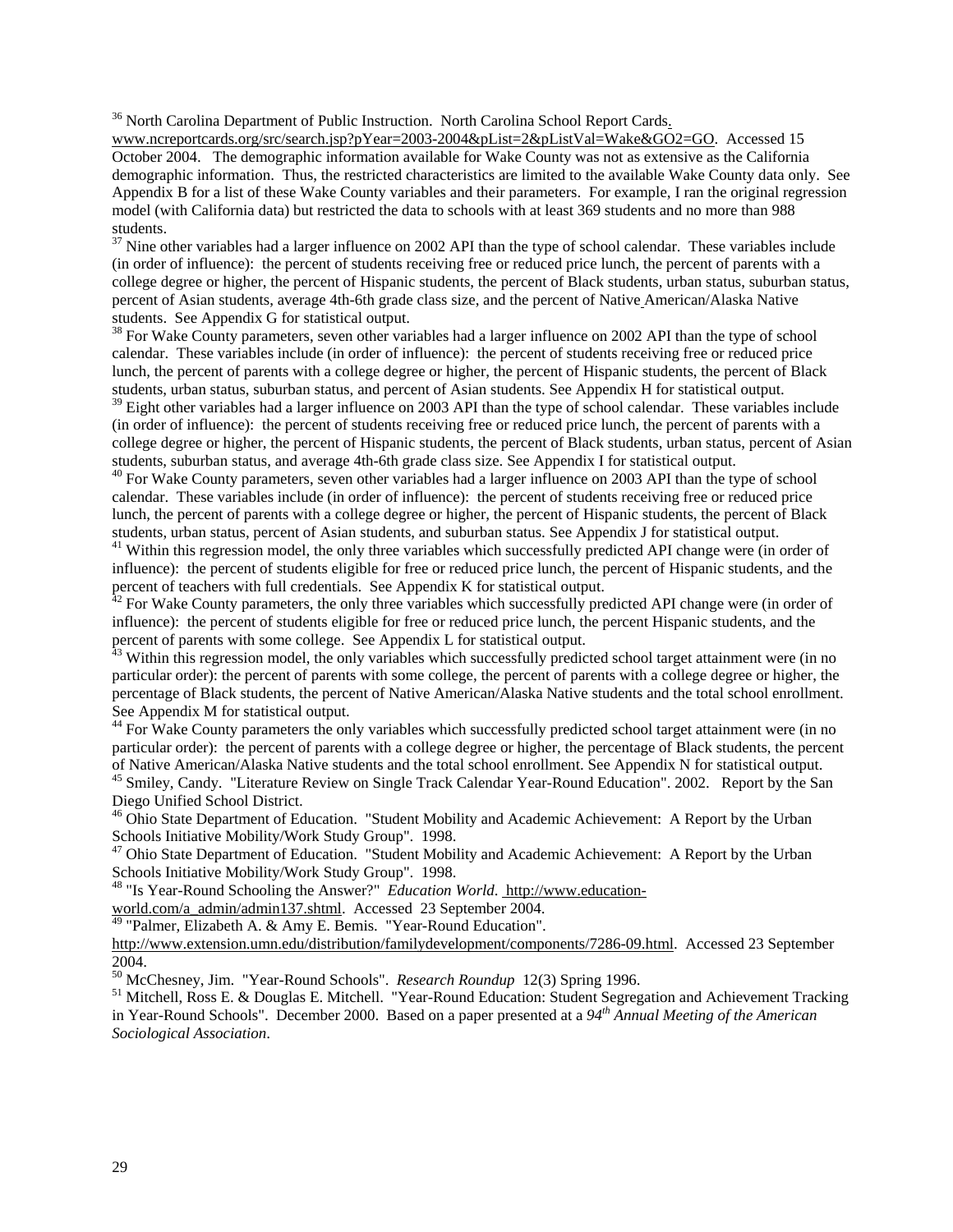<sup>[36](#page-1-0)</sup> North Carolina Department of Public Instruction. North Carolina School Report Cards.

[www.ncreportcards.org/src/search.jsp?pYear=2003-2004&pList=2&pListVal=Wake&GO2=GO](https://webmail7.isis.unc.edu/mail/services/go.php?url=http%3A%2F%2Fwww.ncreportcards.org%2Fsrc%2Fsearch.jsp%3FpYear%3D2003-2004%26pList%3D2%26pListVal%3DWake%26GO2%3DGO). Accessed 15 October 2004. The demographic information available for Wake County was not as extensive as the California demographic information. Thus, the restricted characteristics are limited to the available Wake County data only. See Appendix B for a list of these Wake County variables and their parameters. For example, I ran the original regression model (with California data) but restricted the data to schools with at least 369 students and no more than 988 students.

 $37$  Nine other variables had a larger influence on 2002 API than the type of school calendar. These variables include (in order of influence): the percent of students receiving free or reduced price lunch, the percent of parents with a college degree or higher, the percent of Hispanic students, the percent of Black students, urban status, suburban status, percent of Asian students, average 4th-6th grade class size, and the percent of Native American/Alaska Native students. See Appendix G for statistical output.

<sup>[38](#page-1-0)</sup> For Wake County parameters, seven other variables had a larger influence on 2002 API than the type of school calendar. These variables include (in order of influence): the percent of students receiving free or reduced price lunch, the percent of parents with a college degree or higher, the percent of Hispanic students, the percent of Black students, urban status, suburban status, and percent of Asian students. See Appendix H for statistical output.

 $39$  Eight other variables had a larger influence on 2003 API than the type of school calendar. These variables include (in order of influence): the percent of students receiving free or reduced price lunch, the percent of parents with a college degree or higher, the percent of Hispanic students, the percent of Black students, urban status, percent of Asian students, suburban status, and average 4th-6th grade class size. See Appendix I for statistical output.

<sup>[40](#page-1-0)</sup> For Wake County parameters, seven other variables had a larger influence on 2003 API than the type of school calendar. These variables include (in order of influence): the percent of students receiving free or reduced price lunch, the percent of parents with a college degree or higher, the percent of Hispanic students, the percent of Black students, urban status, percent of Asian students, and suburban status. See Appendix J for statistical output.

<sup>[41](#page-1-0)</sup> Within this regression model, the only three variables which successfully predicted API change were (in order of influence): the percent of students eligible for free or reduced price lunch, the percent of Hispanic students, and the percent of teachers with full credentials. See Appendix K for statistical output[.](#page-1-0)

 $42$  For Wake County parameters, the only three variables which successfully predicted API change were (in order of influence): the percent of students eligible for free or reduced price lunch, the percent Hispanic students, and the percent of parents with some college. See Appendix L for statistical output.

<sup>[43](#page-1-0)</sup> Within this regression model, the only variables which successfully predicted school target attainment were (in no particular order): the percent of parents with some college, the percent of parents with a college degree or higher, the percentage of Black students, the percent of Native American/Alaska Native students and the total school enrollment. See Appendix M for statistical output.

<sup>[44](#page-1-0)</sup> For Wake County parameters the only variables which successfully predicted school target attainment were (in no particular order): the percent of parents with a college degree or higher, the percentage of Black students, the percent of Native American/Alaska Native students and the total school enrollment. See Appendix N for statistical output.

<sup>[45](#page-1-0)</sup> Smiley, Candy. "Literature Review on Single Track Calendar Year-Round Education". 2002. Report by the San Diego Unified School District.

<sup>[46](#page-1-0)</sup> Ohio State Department of Education. "Student Mobility and Academic Achievement: A Report by the Urban Schools Initiative Mobility/Work Study Group". 1998.

<sup>[47](#page-1-0)</sup> Ohio State Department of Education. "Student Mobility and Academic Achievement: A Report by the Urban Schools Initiative Mobility/Work Study Group". 1998.

[48](#page-1-0) "Is Year-Round Schooling the Answer?" *Education World*. [http://www.education-](http://www.education-world.com/a_admin/admin137.shtml)

[world.com/a\\_admin/admin137.shtml.](http://www.education-world.com/a_admin/admin137.shtml) Accessed 23 September 2004.

<sup>[49](#page-1-0)</sup> "Palmer, Elizabeth A. & Amy E. Bemis. "Year-Round Education".

http://www.extension.umn.edu/distribution/familydevelopment/components/7286-09.html. Accessed 23 September 2004.<br><sup>50</sup> McChesney, Jim. "Year-Round Schools". *Research Roundup* 12(3) Spring 1996.

<sup>[51](#page-1-0)</sup> Mitchell, Ross E. & Douglas E. Mitchell. "Year-Round Education: Student Segregation and Achievement Tracking in Year-Round Schools". December 2000. Based on a paper presented at a *94th Annual Meeting of the American Sociological Association*.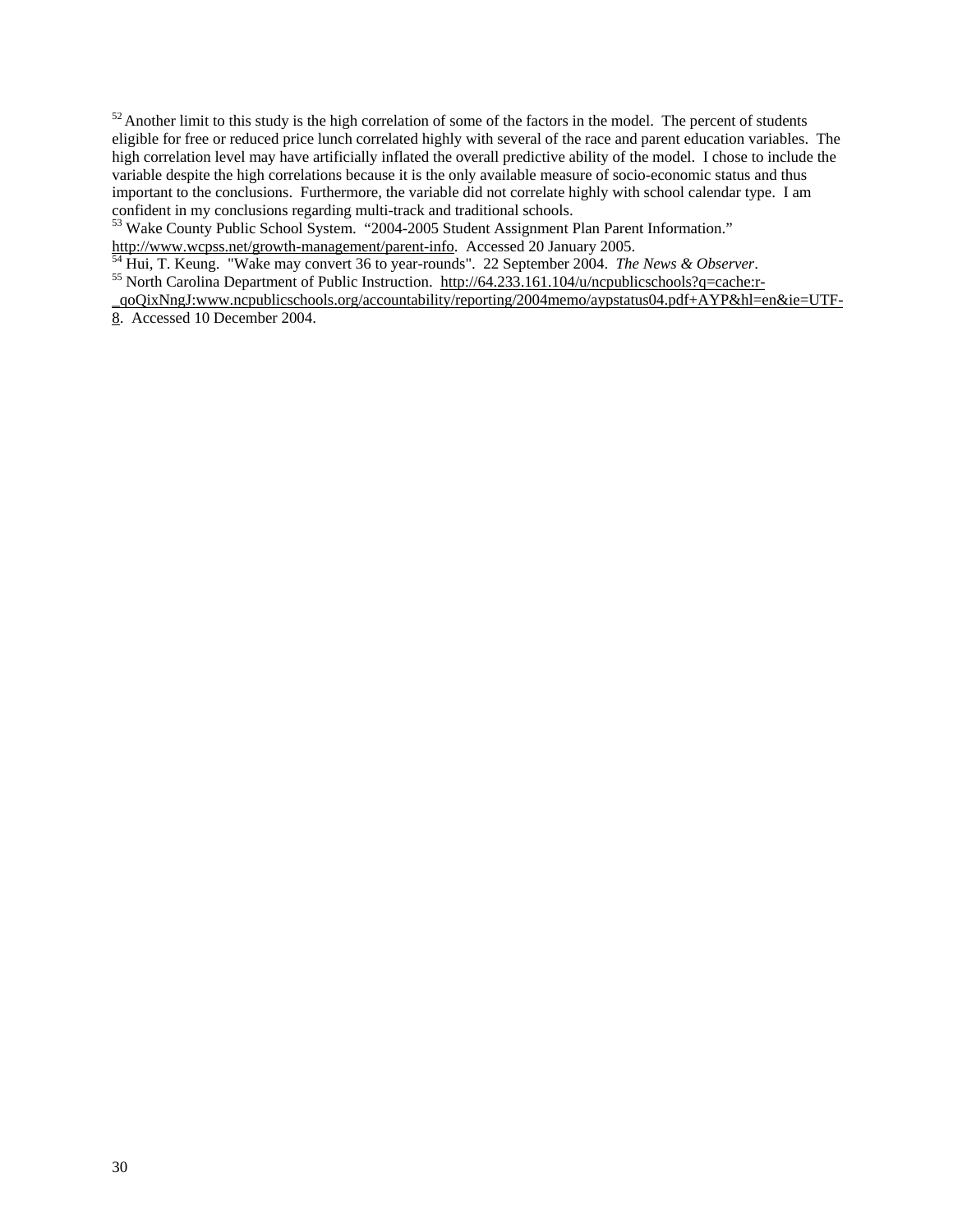<span id="page-30-0"></span> $52$  Another limit to this study is the high correlation of some of the factors in the model. The percent of students eligible for free or reduced price lunch correlated highly with several of the race and parent education variables. The high correlation level may have artificially inflated the overall predictive ability of the model. I chose to include the variable despite the high correlations because it is the only available measure of socio-economic status and thus important to the conclusions. Furthermore, the variable did not correlate highly with school calendar type. I am confident in my conclusions regarding multi-track and traditional schools.

[53](#page-1-0) Wake County Public School System. "2004-2005 Student Assignment Plan Parent Information."

[http://www.wcpss.net/growth-management/parent-info.](http://www.wcpss.net/growth-management/parent-info) Accessed 20 January 2005.<br>
<sup>[54](#page-1-0)</sup> Hui, T[.](http://64.233.161.104/u/ncpublicschools?q=cache:r-_qoQixNngJ:www.ncpublicschools.org/accountability/reporting/2004memo/aypstatus04.pdf+AYP&hl=en&ie=UTF-8) Keung. "Wake may convert 36 to year-rounds". 22 September 2004. *The News & Observer*.<br>
<sup>[55](#page-1-0)</sup> North Carolina Department of Public

[\\_qoQixNngJ:www.ncpublicschools.org/accountability/reporting/2004memo/aypstatus04.pdf+AYP&hl=en&ie=UTF-](http://64.233.161.104/u/ncpublicschools?q=cache:r-_qoQixNngJ:www.ncpublicschools.org/accountability/reporting/2004memo/aypstatus04.pdf+AYP&hl=en&ie=UTF-8)[8](http://64.233.161.104/u/ncpublicschools?q=cache:r-_qoQixNngJ:www.ncpublicschools.org/accountability/reporting/2004memo/aypstatus04.pdf+AYP&hl=en&ie=UTF-8). Accessed 10 December 2004.